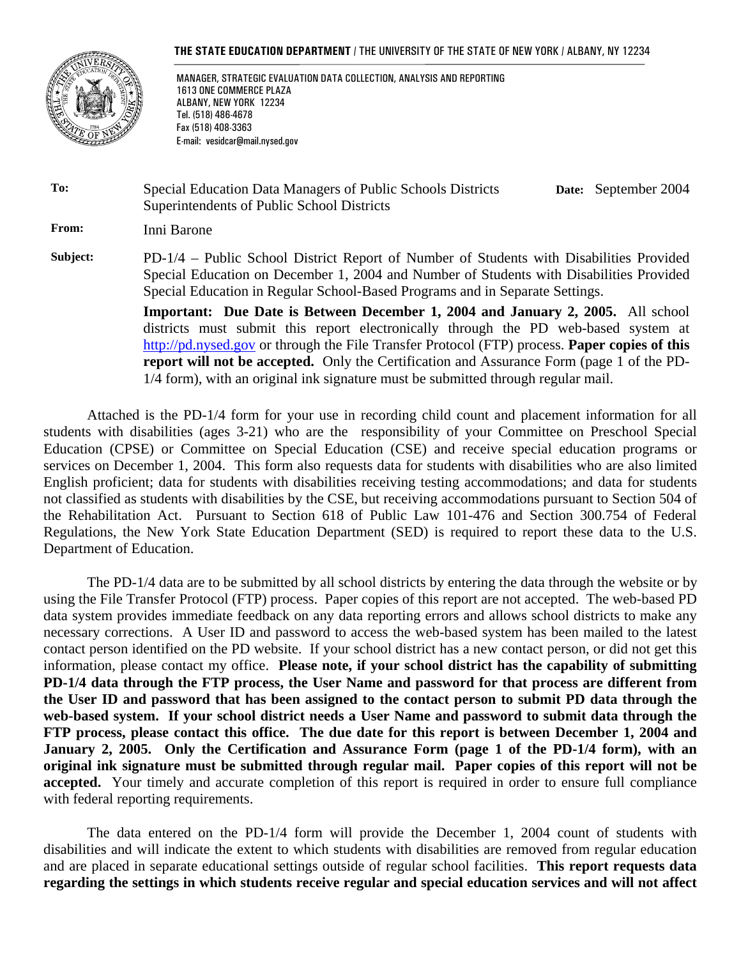#### **THE STATE EDUCATION DEPARTMENT** / THE UNIVERSITY OF THE STATE OF NEW YORK / ALBANY, NY 12234



 MANAGER, STRATEGIC EVALUATION DATA COLLECTION, ANALYSIS AND REPORTING 1613 ONE COMMERCE PLAZA ALBANY, NEW YORK 12234 Tel. (518) 486-4678 Fax (518) 408-3363 E-mail: vesidcar@mail.nysed.gov

**To:** Special Education Data Managers of Public Schools Districts Superintendents of Public School Districts **Date:** September 2004

**From:** Inni Barone

**Subject:** PD-1/4 – Public School District Report of Number of Students with Disabilities Provided Special Education on December 1, 2004 and Number of Students with Disabilities Provided Special Education in Regular School-Based Programs and in Separate Settings.

> **Important: Due Date is Between December 1, 2004 and January 2, 2005.** All school districts must submit this report electronically through the PD web-based system at http://pd.nysed.gov or through the File Transfer Protocol (FTP) process. **Paper copies of this report will not be accepted.** Only the Certification and Assurance Form (page 1 of the PD-1/4 form), with an original ink signature must be submitted through regular mail.

Attached is the PD-1/4 form for your use in recording child count and placement information for all students with disabilities (ages 3-21) who are the responsibility of your Committee on Preschool Special Education (CPSE) or Committee on Special Education (CSE) and receive special education programs or services on December 1, 2004. This form also requests data for students with disabilities who are also limited English proficient; data for students with disabilities receiving testing accommodations; and data for students not classified as students with disabilities by the CSE, but receiving accommodations pursuant to Section 504 of the Rehabilitation Act. Pursuant to Section 618 of Public Law 101-476 and Section 300.754 of Federal Regulations, the New York State Education Department (SED) is required to report these data to the U.S. Department of Education.

The PD-1/4 data are to be submitted by all school districts by entering the data through the website or by using the File Transfer Protocol (FTP) process. Paper copies of this report are not accepted. The web-based PD data system provides immediate feedback on any data reporting errors and allows school districts to make any necessary corrections. A User ID and password to access the web-based system has been mailed to the latest contact person identified on the PD website. If your school district has a new contact person, or did not get this information, please contact my office. **Please note, if your school district has the capability of submitting PD-1/4 data through the FTP process, the User Name and password for that process are different from the User ID and password that has been assigned to the contact person to submit PD data through the web-based system. If your school district needs a User Name and password to submit data through the FTP process, please contact this office. The due date for this report is between December 1, 2004 and January 2, 2005. Only the Certification and Assurance Form (page 1 of the PD-1/4 form), with an original ink signature must be submitted through regular mail. Paper copies of this report will not be accepted.** Your timely and accurate completion of this report is required in order to ensure full compliance with federal reporting requirements.

The data entered on the PD-1/4 form will provide the December 1, 2004 count of students with disabilities and will indicate the extent to which students with disabilities are removed from regular education and are placed in separate educational settings outside of regular school facilities. **This report requests data regarding the settings in which students receive regular and special education services and will not affect**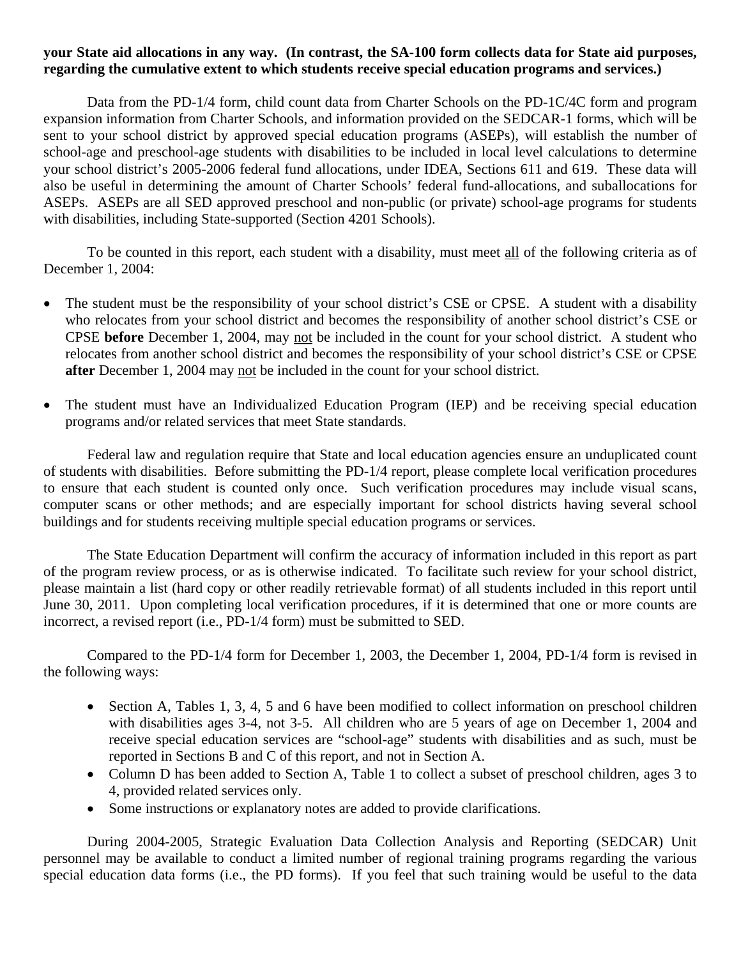#### **your State aid allocations in any way. (In contrast, the SA-100 form collects data for State aid purposes, regarding the cumulative extent to which students receive special education programs and services.)**

Data from the PD-1/4 form, child count data from Charter Schools on the PD-1C/4C form and program expansion information from Charter Schools, and information provided on the SEDCAR-1 forms, which will be sent to your school district by approved special education programs (ASEPs), will establish the number of school-age and preschool-age students with disabilities to be included in local level calculations to determine your school district's 2005-2006 federal fund allocations, under IDEA, Sections 611 and 619. These data will also be useful in determining the amount of Charter Schools' federal fund-allocations, and suballocations for ASEPs. ASEPs are all SED approved preschool and non-public (or private) school-age programs for students with disabilities, including State-supported (Section 4201 Schools).

To be counted in this report, each student with a disability, must meet all of the following criteria as of December 1, 2004:

- The student must be the responsibility of your school district's CSE or CPSE. A student with a disability who relocates from your school district and becomes the responsibility of another school district's CSE or CPSE **before** December 1, 2004, may not be included in the count for your school district. A student who relocates from another school district and becomes the responsibility of your school district's CSE or CPSE **after** December 1, 2004 may not be included in the count for your school district.
- The student must have an Individualized Education Program (IEP) and be receiving special education programs and/or related services that meet State standards.

Federal law and regulation require that State and local education agencies ensure an unduplicated count of students with disabilities. Before submitting the PD-1/4 report, please complete local verification procedures to ensure that each student is counted only once. Such verification procedures may include visual scans, computer scans or other methods; and are especially important for school districts having several school buildings and for students receiving multiple special education programs or services.

The State Education Department will confirm the accuracy of information included in this report as part of the program review process, or as is otherwise indicated. To facilitate such review for your school district, please maintain a list (hard copy or other readily retrievable format) of all students included in this report until June 30, 2011. Upon completing local verification procedures, if it is determined that one or more counts are incorrect, a revised report (i.e., PD-1/4 form) must be submitted to SED.

Compared to the PD-1/4 form for December 1, 2003, the December 1, 2004, PD-1/4 form is revised in the following ways:

- Section A, Tables 1, 3, 4, 5 and 6 have been modified to collect information on preschool children with disabilities ages 3-4, not 3-5. All children who are 5 years of age on December 1, 2004 and receive special education services are "school-age" students with disabilities and as such, must be reported in Sections B and C of this report, and not in Section A.
- Column D has been added to Section A, Table 1 to collect a subset of preschool children, ages 3 to 4, provided related services only.
- Some instructions or explanatory notes are added to provide clarifications.

During 2004-2005, Strategic Evaluation Data Collection Analysis and Reporting (SEDCAR) Unit personnel may be available to conduct a limited number of regional training programs regarding the various special education data forms (i.e., the PD forms). If you feel that such training would be useful to the data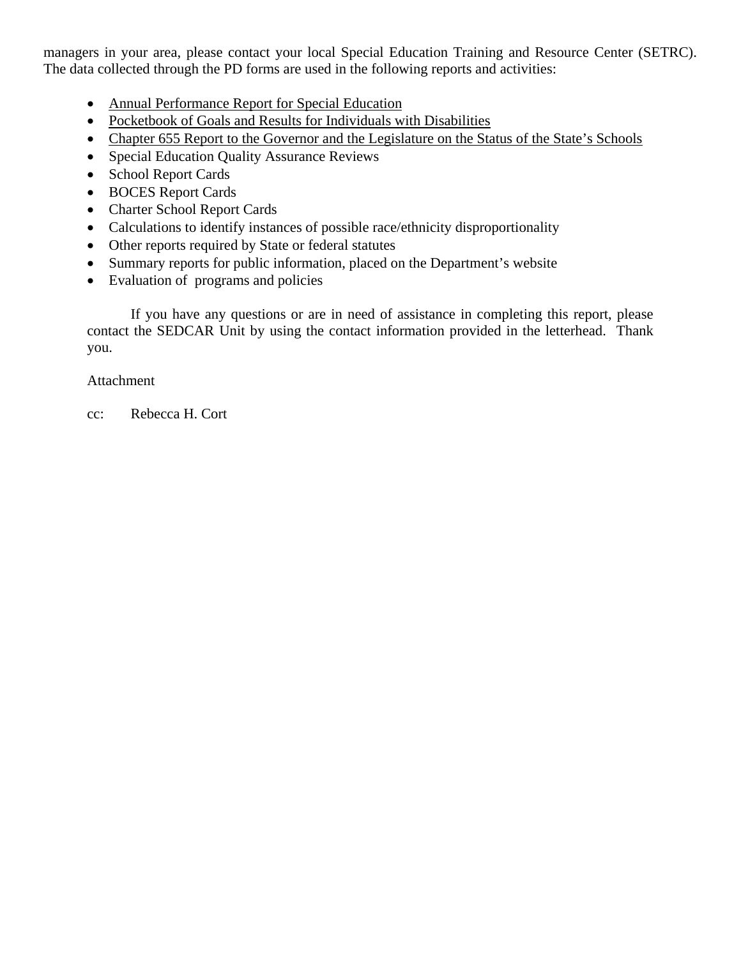managers in your area, please contact your local Special Education Training and Resource Center (SETRC). The data collected through the PD forms are used in the following reports and activities:

- Annual Performance Report for Special Education
- Pocketbook of Goals and Results for Individuals with Disabilities
- Chapter 655 Report to the Governor and the Legislature on the Status of the State's Schools
- Special Education Quality Assurance Reviews
- School Report Cards
- BOCES Report Cards
- Charter School Report Cards
- Calculations to identify instances of possible race/ethnicity disproportionality
- Other reports required by State or federal statutes
- Summary reports for public information, placed on the Department's website
- Evaluation of programs and policies

If you have any questions or are in need of assistance in completing this report, please contact the SEDCAR Unit by using the contact information provided in the letterhead. Thank you.

#### Attachment

cc: Rebecca H. Cort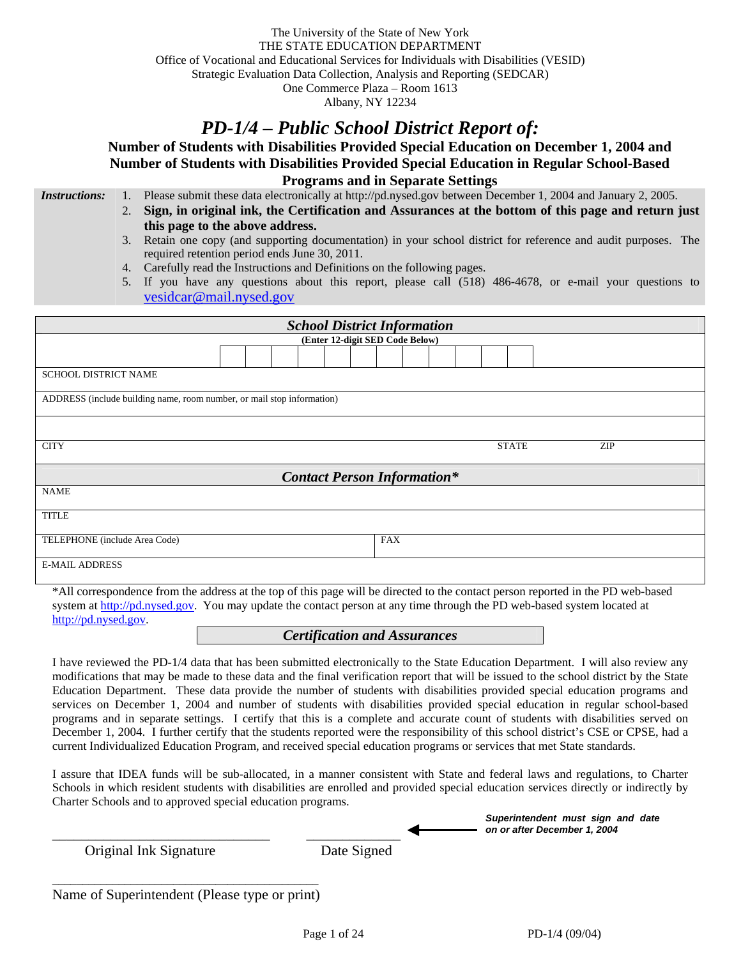The University of the State of New York THE STATE EDUCATION DEPARTMENT Office of Vocational and Educational Services for Individuals with Disabilities (VESID) Strategic Evaluation Data Collection, Analysis and Reporting (SEDCAR) One Commerce Plaza – Room 1613 Albany, NY 12234

# *PD-1/4 – Public School District Report of:*

**Number of Students with Disabilities Provided Special Education on December 1, 2004 and Number of Students with Disabilities Provided Special Education in Regular School-Based Programs and in Separate Settings** 

*Instructions:* 1. Please submit these data electronically at http://pd.nysed.gov between December 1, 2004 and January 2, 2005.

- 2. **Sign, in original ink, the Certification and Assurances at the bottom of this page and return just this page to the above address.**
	- 3. Retain one copy (and supporting documentation) in your school district for reference and audit purposes. The required retention period ends June 30, 2011.
	- 4. Carefully read the Instructions and Definitions on the following pages.
	- 5. If you have any questions about this report, please call (518) 486-4678, or e-mail your questions to vesidcar@mail.nysed.gov

| <b>School District Information</b>                                     |                     |  |  |  |  |  |  |
|------------------------------------------------------------------------|---------------------|--|--|--|--|--|--|
| (Enter 12-digit SED Code Below)                                        |                     |  |  |  |  |  |  |
|                                                                        |                     |  |  |  |  |  |  |
| <b>SCHOOL DISTRICT NAME</b>                                            |                     |  |  |  |  |  |  |
| ADDRESS (include building name, room number, or mail stop information) |                     |  |  |  |  |  |  |
|                                                                        |                     |  |  |  |  |  |  |
| <b>CITY</b>                                                            | <b>STATE</b><br>ZIP |  |  |  |  |  |  |
| <b>Contact Person Information*</b>                                     |                     |  |  |  |  |  |  |
| <b>NAME</b>                                                            |                     |  |  |  |  |  |  |
| <b>TITLE</b>                                                           |                     |  |  |  |  |  |  |
| <b>FAX</b><br>TELEPHONE (include Area Code)                            |                     |  |  |  |  |  |  |
| <b>E-MAIL ADDRESS</b>                                                  |                     |  |  |  |  |  |  |

\*All correspondence from the address at the top of this page will be directed to the contact person reported in the PD web-based system at http://pd.nysed.gov. You may update the contact person at any time through the PD web-based system located at http://pd.nysed.gov.

#### *Certification and Assurances*

I have reviewed the PD-1/4 data that has been submitted electronically to the State Education Department. I will also review any modifications that may be made to these data and the final verification report that will be issued to the school district by the State Education Department. These data provide the number of students with disabilities provided special education programs and services on December 1, 2004 and number of students with disabilities provided special education in regular school-based programs and in separate settings. I certify that this is a complete and accurate count of students with disabilities served on December 1, 2004. I further certify that the students reported were the responsibility of this school district's CSE or CPSE, had a current Individualized Education Program, and received special education programs or services that met State standards.

I assure that IDEA funds will be sub-allocated, in a manner consistent with State and federal laws and regulations, to Charter Schools in which resident students with disabilities are enrolled and provided special education services directly or indirectly by Charter Schools and to approved special education programs.

| Date Signed |                              |
|-------------|------------------------------|
|             | on or after December 1, 2004 |

Name of Superintendent (Please type or print)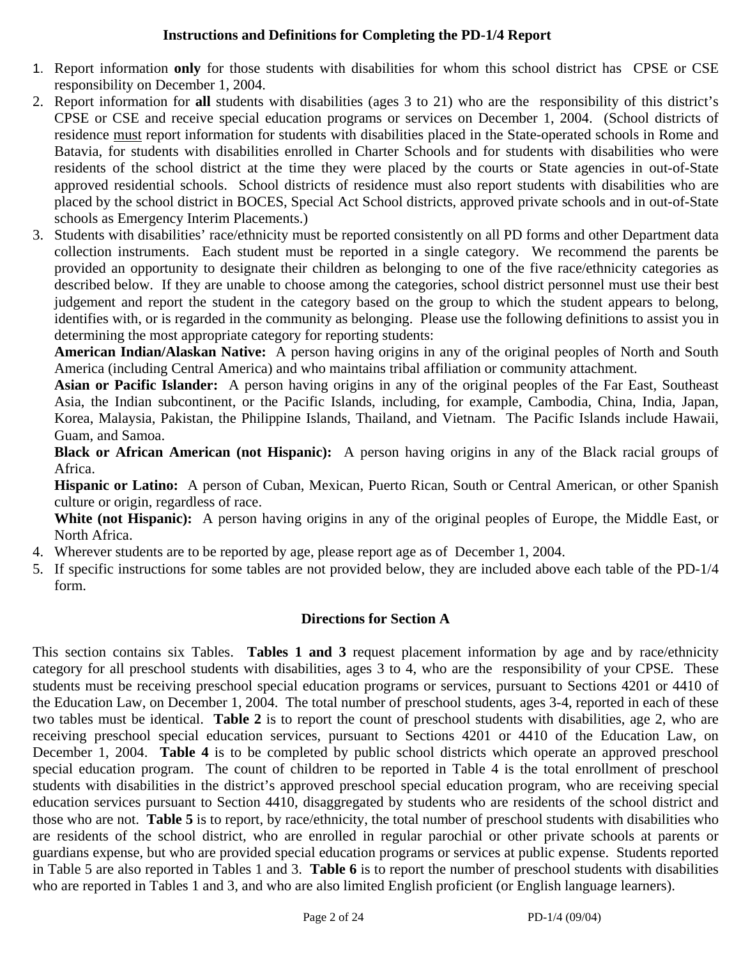#### **Instructions and Definitions for Completing the PD-1/4 Report**

- 1. Report information **only** for those students with disabilities for whom this school district has CPSE or CSE responsibility on December 1, 2004.
- 2. Report information for **all** students with disabilities (ages 3 to 21) who are the responsibility of this district's CPSE or CSE and receive special education programs or services on December 1, 2004. (School districts of residence must report information for students with disabilities placed in the State-operated schools in Rome and Batavia, for students with disabilities enrolled in Charter Schools and for students with disabilities who were residents of the school district at the time they were placed by the courts or State agencies in out-of-State approved residential schools. School districts of residence must also report students with disabilities who are placed by the school district in BOCES, Special Act School districts, approved private schools and in out-of-State schools as Emergency Interim Placements.)
- 3. Students with disabilities' race/ethnicity must be reported consistently on all PD forms and other Department data collection instruments. Each student must be reported in a single category. We recommend the parents be provided an opportunity to designate their children as belonging to one of the five race/ethnicity categories as described below. If they are unable to choose among the categories, school district personnel must use their best judgement and report the student in the category based on the group to which the student appears to belong, identifies with, or is regarded in the community as belonging. Please use the following definitions to assist you in determining the most appropriate category for reporting students:

**American Indian/Alaskan Native:** A person having origins in any of the original peoples of North and South America (including Central America) and who maintains tribal affiliation or community attachment.

**Asian or Pacific Islander:** A person having origins in any of the original peoples of the Far East, Southeast Asia, the Indian subcontinent, or the Pacific Islands, including, for example, Cambodia, China, India, Japan, Korea, Malaysia, Pakistan, the Philippine Islands, Thailand, and Vietnam. The Pacific Islands include Hawaii, Guam, and Samoa.

**Black or African American (not Hispanic):** A person having origins in any of the Black racial groups of Africa.

**Hispanic or Latino:** A person of Cuban, Mexican, Puerto Rican, South or Central American, or other Spanish culture or origin, regardless of race.

**White (not Hispanic):** A person having origins in any of the original peoples of Europe, the Middle East, or North Africa.

- 4. Wherever students are to be reported by age, please report age as of December 1, 2004.
- 5. If specific instructions for some tables are not provided below, they are included above each table of the PD-1/4 form.

### **Directions for Section A**

This section contains six Tables. **Tables 1 and 3** request placement information by age and by race/ethnicity category for all preschool students with disabilities, ages 3 to 4, who are the responsibility of your CPSE. These students must be receiving preschool special education programs or services, pursuant to Sections 4201 or 4410 of the Education Law, on December 1, 2004. The total number of preschool students, ages 3-4, reported in each of these two tables must be identical. **Table 2** is to report the count of preschool students with disabilities, age 2, who are receiving preschool special education services, pursuant to Sections 4201 or 4410 of the Education Law, on December 1, 2004. **Table 4** is to be completed by public school districts which operate an approved preschool special education program. The count of children to be reported in Table 4 is the total enrollment of preschool students with disabilities in the district's approved preschool special education program, who are receiving special education services pursuant to Section 4410, disaggregated by students who are residents of the school district and those who are not. **Table 5** is to report, by race/ethnicity, the total number of preschool students with disabilities who are residents of the school district, who are enrolled in regular parochial or other private schools at parents or guardians expense, but who are provided special education programs or services at public expense. Students reported in Table 5 are also reported in Tables 1 and 3. **Table 6** is to report the number of preschool students with disabilities who are reported in Tables 1 and 3, and who are also limited English proficient (or English language learners).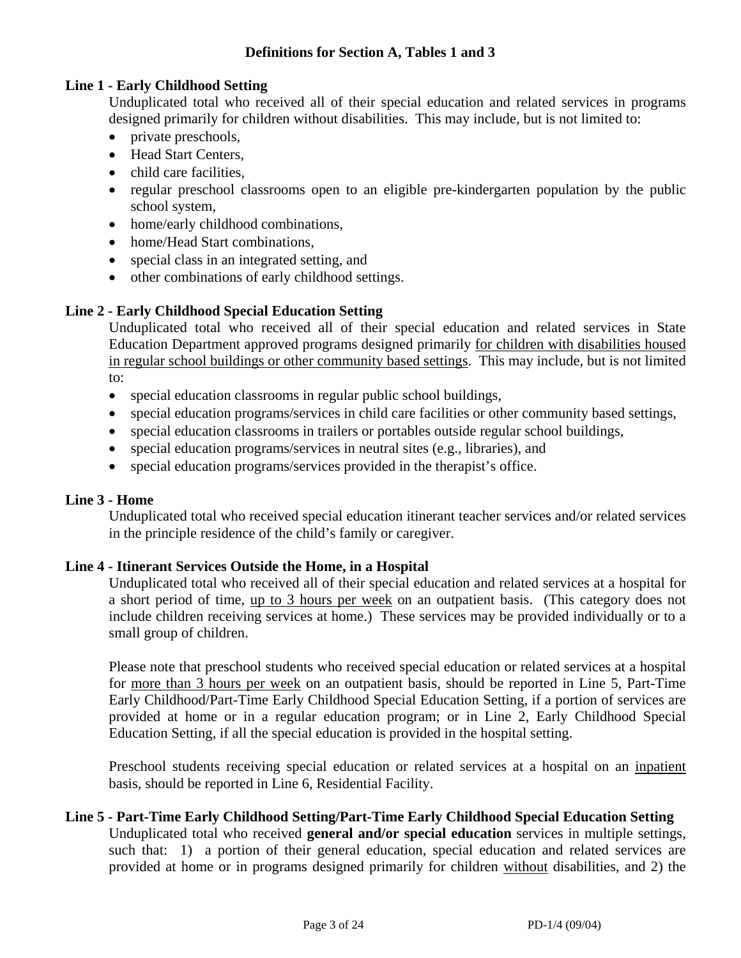#### **Definitions for Section A, Tables 1 and 3**

#### **Line 1 - Early Childhood Setting**

Unduplicated total who received all of their special education and related services in programs designed primarily for children without disabilities. This may include, but is not limited to:

- private preschools,
- Head Start Centers,
- child care facilities,
- regular preschool classrooms open to an eligible pre-kindergarten population by the public school system,
- home/early childhood combinations,
- home/Head Start combinations.
- special class in an integrated setting, and
- other combinations of early childhood settings.

### **Line 2 - Early Childhood Special Education Setting**

Unduplicated total who received all of their special education and related services in State Education Department approved programs designed primarily for children with disabilities housed in regular school buildings or other community based settings. This may include, but is not limited to:

- special education classrooms in regular public school buildings,
- special education programs/services in child care facilities or other community based settings,
- special education classrooms in trailers or portables outside regular school buildings,
- special education programs/services in neutral sites (e.g., libraries), and
- special education programs/services provided in the therapist's office.

### **Line 3 - Home**

Unduplicated total who received special education itinerant teacher services and/or related services in the principle residence of the child's family or caregiver.

### **Line 4 - Itinerant Services Outside the Home, in a Hospital**

Unduplicated total who received all of their special education and related services at a hospital for a short period of time, up to 3 hours per week on an outpatient basis. (This category does not include children receiving services at home.) These services may be provided individually or to a small group of children.

Please note that preschool students who received special education or related services at a hospital for more than 3 hours per week on an outpatient basis, should be reported in Line 5, Part-Time Early Childhood/Part-Time Early Childhood Special Education Setting, if a portion of services are provided at home or in a regular education program; or in Line 2, Early Childhood Special Education Setting, if all the special education is provided in the hospital setting.

Preschool students receiving special education or related services at a hospital on an inpatient basis, should be reported in Line 6, Residential Facility.

#### **Line 5 - Part-Time Early Childhood Setting/Part-Time Early Childhood Special Education Setting**

Unduplicated total who received **general and/or special education** services in multiple settings, such that: 1) a portion of their general education, special education and related services are provided at home or in programs designed primarily for children without disabilities, and 2) the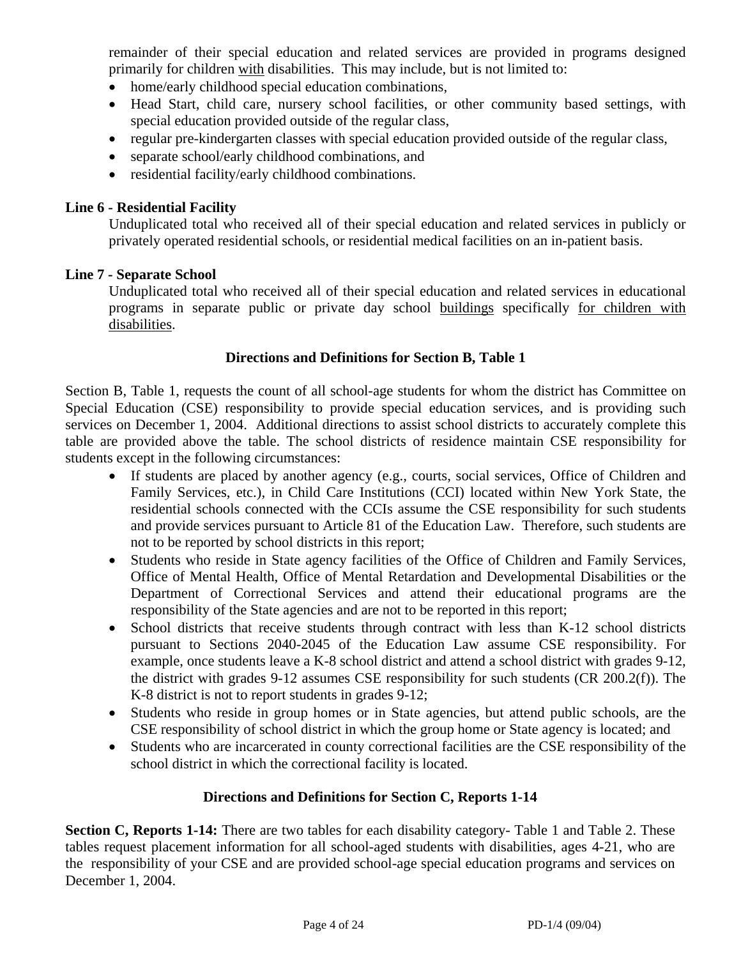remainder of their special education and related services are provided in programs designed primarily for children with disabilities. This may include, but is not limited to:

- home/early childhood special education combinations,
- Head Start, child care, nursery school facilities, or other community based settings, with special education provided outside of the regular class,
- regular pre-kindergarten classes with special education provided outside of the regular class,
- separate school/early childhood combinations, and
- residential facility/early childhood combinations.

#### **Line 6 - Residential Facility**

Unduplicated total who received all of their special education and related services in publicly or privately operated residential schools, or residential medical facilities on an in-patient basis.

#### **Line 7 - Separate School**

Unduplicated total who received all of their special education and related services in educational programs in separate public or private day school buildings specifically for children with disabilities.

#### **Directions and Definitions for Section B, Table 1**

Section B, Table 1, requests the count of all school-age students for whom the district has Committee on Special Education (CSE) responsibility to provide special education services, and is providing such services on December 1, 2004. Additional directions to assist school districts to accurately complete this table are provided above the table. The school districts of residence maintain CSE responsibility for students except in the following circumstances:

- If students are placed by another agency (e.g., courts, social services, Office of Children and Family Services, etc.), in Child Care Institutions (CCI) located within New York State, the residential schools connected with the CCIs assume the CSE responsibility for such students and provide services pursuant to Article 81 of the Education Law. Therefore, such students are not to be reported by school districts in this report;
- Students who reside in State agency facilities of the Office of Children and Family Services, Office of Mental Health, Office of Mental Retardation and Developmental Disabilities or the Department of Correctional Services and attend their educational programs are the responsibility of the State agencies and are not to be reported in this report;
- School districts that receive students through contract with less than K-12 school districts pursuant to Sections 2040-2045 of the Education Law assume CSE responsibility. For example, once students leave a K-8 school district and attend a school district with grades 9-12, the district with grades 9-12 assumes CSE responsibility for such students (CR 200.2(f)). The K-8 district is not to report students in grades 9-12;
- Students who reside in group homes or in State agencies, but attend public schools, are the CSE responsibility of school district in which the group home or State agency is located; and
- Students who are incarcerated in county correctional facilities are the CSE responsibility of the school district in which the correctional facility is located.

### **Directions and Definitions for Section C, Reports 1-14**

**Section C, Reports 1-14:** There are two tables for each disability category- Table 1 and Table 2. These tables request placement information for all school-aged students with disabilities, ages 4-21, who are the responsibility of your CSE and are provided school-age special education programs and services on December 1, 2004.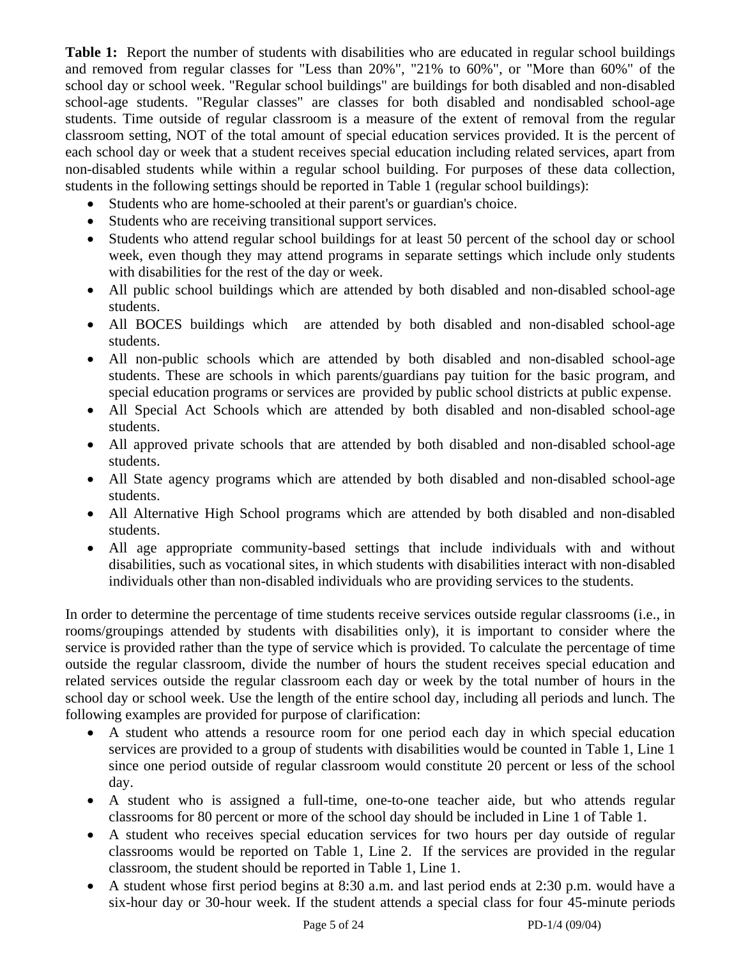**Table 1:** Report the number of students with disabilities who are educated in regular school buildings and removed from regular classes for "Less than 20%", "21% to 60%", or "More than 60%" of the school day or school week. "Regular school buildings" are buildings for both disabled and non-disabled school-age students. "Regular classes" are classes for both disabled and nondisabled school-age students. Time outside of regular classroom is a measure of the extent of removal from the regular classroom setting, NOT of the total amount of special education services provided. It is the percent of each school day or week that a student receives special education including related services, apart from non-disabled students while within a regular school building. For purposes of these data collection, students in the following settings should be reported in Table 1 (regular school buildings):

- Students who are home-schooled at their parent's or guardian's choice.
- Students who are receiving transitional support services.
- Students who attend regular school buildings for at least 50 percent of the school day or school week, even though they may attend programs in separate settings which include only students with disabilities for the rest of the day or week.
- All public school buildings which are attended by both disabled and non-disabled school-age students.
- All BOCES buildings which are attended by both disabled and non-disabled school-age students.
- All non-public schools which are attended by both disabled and non-disabled school-age students. These are schools in which parents/guardians pay tuition for the basic program, and special education programs or services are provided by public school districts at public expense.
- All Special Act Schools which are attended by both disabled and non-disabled school-age students.
- All approved private schools that are attended by both disabled and non-disabled school-age students.
- All State agency programs which are attended by both disabled and non-disabled school-age students.
- All Alternative High School programs which are attended by both disabled and non-disabled students.
- All age appropriate community-based settings that include individuals with and without disabilities, such as vocational sites, in which students with disabilities interact with non-disabled individuals other than non-disabled individuals who are providing services to the students.

In order to determine the percentage of time students receive services outside regular classrooms (i.e., in rooms/groupings attended by students with disabilities only), it is important to consider where the service is provided rather than the type of service which is provided. To calculate the percentage of time outside the regular classroom, divide the number of hours the student receives special education and related services outside the regular classroom each day or week by the total number of hours in the school day or school week. Use the length of the entire school day, including all periods and lunch. The following examples are provided for purpose of clarification:

- A student who attends a resource room for one period each day in which special education services are provided to a group of students with disabilities would be counted in Table 1, Line 1 since one period outside of regular classroom would constitute 20 percent or less of the school day.
- A student who is assigned a full-time, one-to-one teacher aide, but who attends regular classrooms for 80 percent or more of the school day should be included in Line 1 of Table 1.
- A student who receives special education services for two hours per day outside of regular classrooms would be reported on Table 1, Line 2. If the services are provided in the regular classroom, the student should be reported in Table 1, Line 1.
- A student whose first period begins at 8:30 a.m. and last period ends at 2:30 p.m. would have a six-hour day or 30-hour week. If the student attends a special class for four 45-minute periods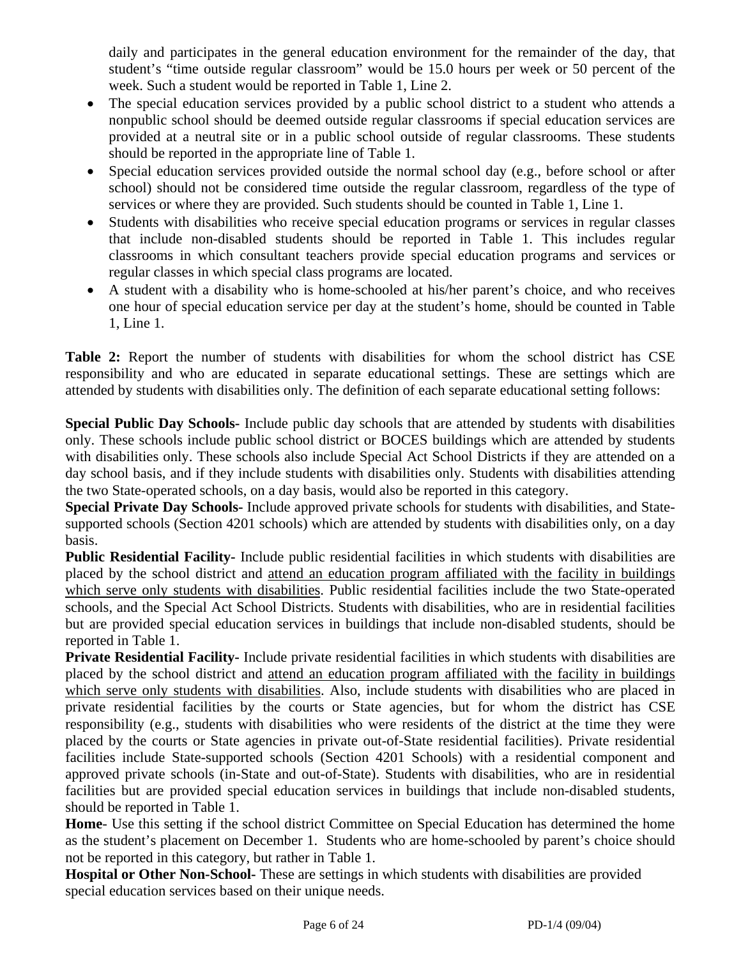daily and participates in the general education environment for the remainder of the day, that student's "time outside regular classroom" would be 15.0 hours per week or 50 percent of the week. Such a student would be reported in Table 1, Line 2.

- The special education services provided by a public school district to a student who attends a nonpublic school should be deemed outside regular classrooms if special education services are provided at a neutral site or in a public school outside of regular classrooms. These students should be reported in the appropriate line of Table 1.
- Special education services provided outside the normal school day (e.g., before school or after school) should not be considered time outside the regular classroom, regardless of the type of services or where they are provided. Such students should be counted in Table 1, Line 1.
- Students with disabilities who receive special education programs or services in regular classes that include non-disabled students should be reported in Table 1. This includes regular classrooms in which consultant teachers provide special education programs and services or regular classes in which special class programs are located.
- A student with a disability who is home-schooled at his/her parent's choice, and who receives one hour of special education service per day at the student's home, should be counted in Table 1, Line 1.

**Table 2:** Report the number of students with disabilities for whom the school district has CSE responsibility and who are educated in separate educational settings. These are settings which are attended by students with disabilities only. The definition of each separate educational setting follows:

**Special Public Day Schools-** Include public day schools that are attended by students with disabilities only. These schools include public school district or BOCES buildings which are attended by students with disabilities only. These schools also include Special Act School Districts if they are attended on a day school basis, and if they include students with disabilities only. Students with disabilities attending the two State-operated schools, on a day basis, would also be reported in this category.

**Special Private Day Schools-** Include approved private schools for students with disabilities, and Statesupported schools (Section 4201 schools) which are attended by students with disabilities only, on a day basis.

**Public Residential Facility-** Include public residential facilities in which students with disabilities are placed by the school district and attend an education program affiliated with the facility in buildings which serve only students with disabilities. Public residential facilities include the two State-operated schools, and the Special Act School Districts. Students with disabilities, who are in residential facilities but are provided special education services in buildings that include non-disabled students, should be reported in Table 1.

**Private Residential Facility-** Include private residential facilities in which students with disabilities are placed by the school district and attend an education program affiliated with the facility in buildings which serve only students with disabilities. Also, include students with disabilities who are placed in private residential facilities by the courts or State agencies, but for whom the district has CSE responsibility (e.g., students with disabilities who were residents of the district at the time they were placed by the courts or State agencies in private out-of-State residential facilities). Private residential facilities include State-supported schools (Section 4201 Schools) with a residential component and approved private schools (in-State and out-of-State). Students with disabilities, who are in residential facilities but are provided special education services in buildings that include non-disabled students, should be reported in Table 1.

**Home**- Use this setting if the school district Committee on Special Education has determined the home as the student's placement on December 1. Students who are home-schooled by parent's choice should not be reported in this category, but rather in Table 1.

**Hospital or Other Non-School-** These are settings in which students with disabilities are provided special education services based on their unique needs.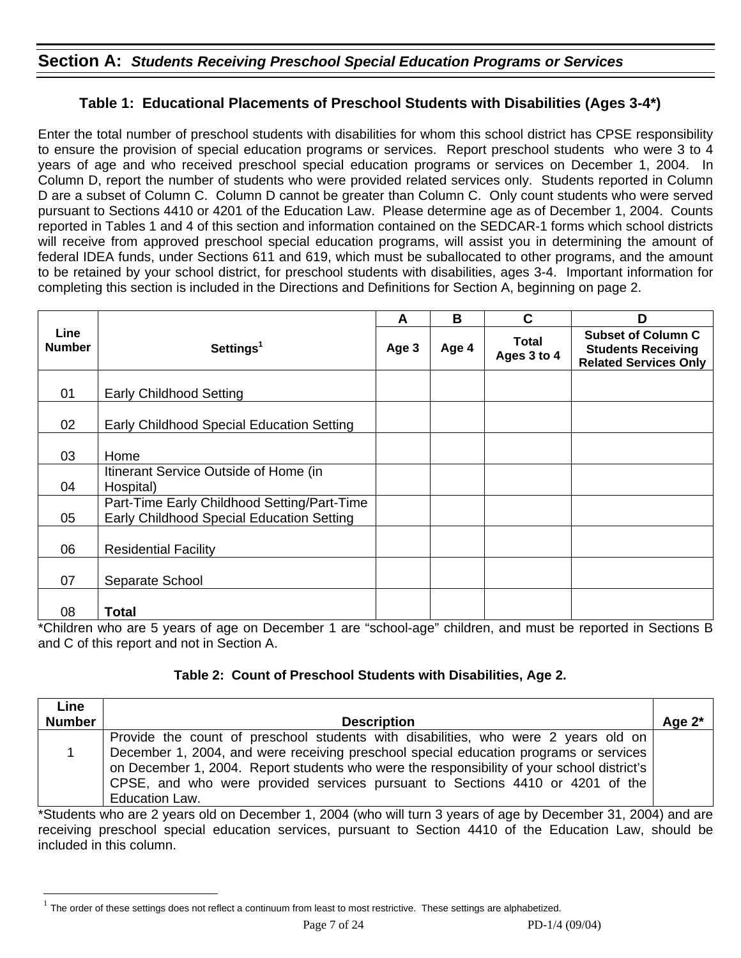## **Section A:** *Students Receiving Preschool Special Education Programs or Services*

## **Table 1: Educational Placements of Preschool Students with Disabilities (Ages 3-4\*)**

Enter the total number of preschool students with disabilities for whom this school district has CPSE responsibility to ensure the provision of special education programs or services. Report preschool students who were 3 to 4 years of age and who received preschool special education programs or services on December 1, 2004. In Column D, report the number of students who were provided related services only. Students reported in Column D are a subset of Column C. Column D cannot be greater than Column C. Only count students who were served pursuant to Sections 4410 or 4201 of the Education Law. Please determine age as of December 1, 2004. Counts reported in Tables 1 and 4 of this section and information contained on the SEDCAR-1 forms which school districts will receive from approved preschool special education programs, will assist you in determining the amount of federal IDEA funds, under Sections 611 and 619, which must be suballocated to other programs, and the amount to be retained by your school district, for preschool students with disabilities, ages 3-4. Important information for completing this section is included in the Directions and Definitions for Section A, beginning on page 2.

|                       |                                                                                          | A | B     | C                           | D                                                                                      |
|-----------------------|------------------------------------------------------------------------------------------|---|-------|-----------------------------|----------------------------------------------------------------------------------------|
| Line<br><b>Number</b> | Settings <sup>1</sup>                                                                    |   | Age 4 | <b>Total</b><br>Ages 3 to 4 | <b>Subset of Column C</b><br><b>Students Receiving</b><br><b>Related Services Only</b> |
| 01                    | <b>Early Childhood Setting</b>                                                           |   |       |                             |                                                                                        |
| 02                    | Early Childhood Special Education Setting                                                |   |       |                             |                                                                                        |
| 03                    | Home                                                                                     |   |       |                             |                                                                                        |
| 04                    | Itinerant Service Outside of Home (in<br>Hospital)                                       |   |       |                             |                                                                                        |
| 05                    | Part-Time Early Childhood Setting/Part-Time<br>Early Childhood Special Education Setting |   |       |                             |                                                                                        |
| 06                    | <b>Residential Facility</b>                                                              |   |       |                             |                                                                                        |
| 07                    | Separate School                                                                          |   |       |                             |                                                                                        |
| 08                    | Total                                                                                    |   |       |                             |                                                                                        |

\*Children who are 5 years of age on December 1 are "school-age" children, and must be reported in Sections B and C of this report and not in Section A.

### **Table 2: Count of Preschool Students with Disabilities, Age 2.**

| Line          |                                                                                            |           |
|---------------|--------------------------------------------------------------------------------------------|-----------|
| <b>Number</b> | <b>Description</b>                                                                         | Age $2^*$ |
|               | Provide the count of preschool students with disabilities, who were 2 years old on         |           |
|               | December 1, 2004, and were receiving preschool special education programs or services      |           |
|               | on December 1, 2004. Report students who were the responsibility of your school district's |           |
|               | CPSE, and who were provided services pursuant to Sections 4410 or 4201 of the              |           |
|               | <b>Education Law.</b>                                                                      |           |

\*Students who are 2 years old on December 1, 2004 (who will turn 3 years of age by December 31, 2004) and are receiving preschool special education services, pursuant to Section 4410 of the Education Law, should be included in this column.

 $\overline{a}$ 

 $1$  The order of these settings does not reflect a continuum from least to most restrictive. These settings are alphabetized.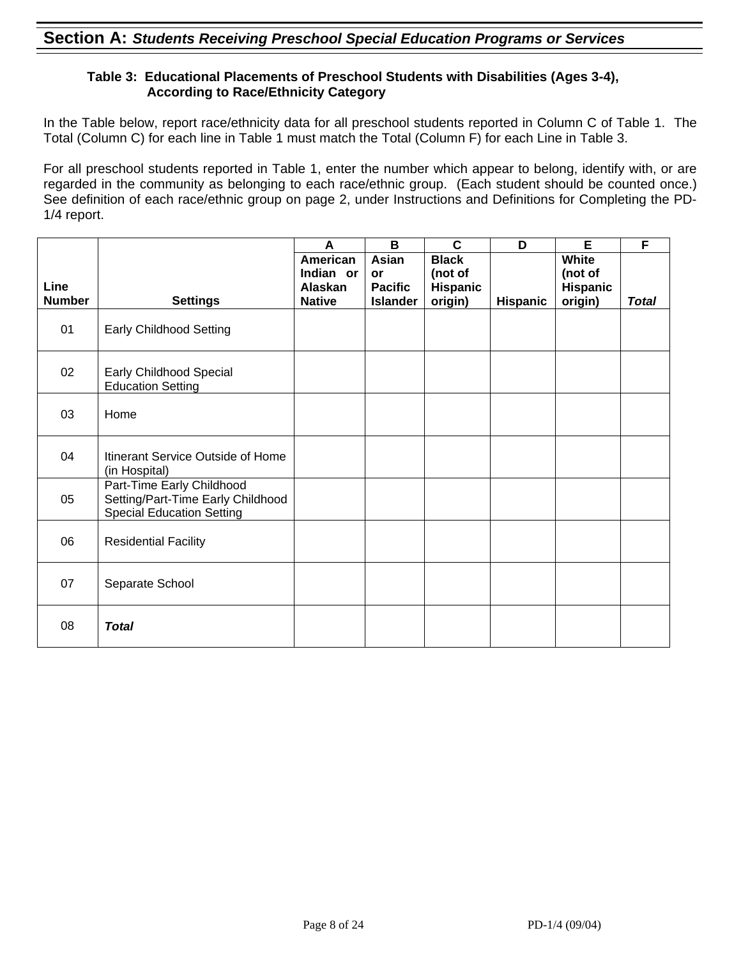#### **Table 3: Educational Placements of Preschool Students with Disabilities (Ages 3-4), According to Race/Ethnicity Category**

In the Table below, report race/ethnicity data for all preschool students reported in Column C of Table 1. The Total (Column C) for each line in Table 1 must match the Total (Column F) for each Line in Table 3.

For all preschool students reported in Table 1, enter the number which appear to belong, identify with, or are regarded in the community as belonging to each race/ethnic group. (Each student should be counted once.) See definition of each race/ethnic group on page 2, under Instructions and Definitions for Completing the PD-1/4 report.

|               |                                                                                                    | A             | B               | C            | D               | E        | F            |
|---------------|----------------------------------------------------------------------------------------------------|---------------|-----------------|--------------|-----------------|----------|--------------|
|               |                                                                                                    | American      | Asian           | <b>Black</b> |                 | White    |              |
|               |                                                                                                    | Indian or     | <b>or</b>       | (not of      |                 | (not of  |              |
| Line          |                                                                                                    | Alaskan       | <b>Pacific</b>  | Hispanic     |                 | Hispanic |              |
| <b>Number</b> | <b>Settings</b>                                                                                    | <b>Native</b> | <b>Islander</b> | origin)      | <b>Hispanic</b> | origin)  | <b>Total</b> |
| 01            | <b>Early Childhood Setting</b>                                                                     |               |                 |              |                 |          |              |
| 02            | Early Childhood Special<br><b>Education Setting</b>                                                |               |                 |              |                 |          |              |
| 03            | Home                                                                                               |               |                 |              |                 |          |              |
| 04            | Itinerant Service Outside of Home<br>(in Hospital)                                                 |               |                 |              |                 |          |              |
| 05            | Part-Time Early Childhood<br>Setting/Part-Time Early Childhood<br><b>Special Education Setting</b> |               |                 |              |                 |          |              |
| 06            | <b>Residential Facility</b>                                                                        |               |                 |              |                 |          |              |
| 07            | Separate School                                                                                    |               |                 |              |                 |          |              |
| 08            | <b>Total</b>                                                                                       |               |                 |              |                 |          |              |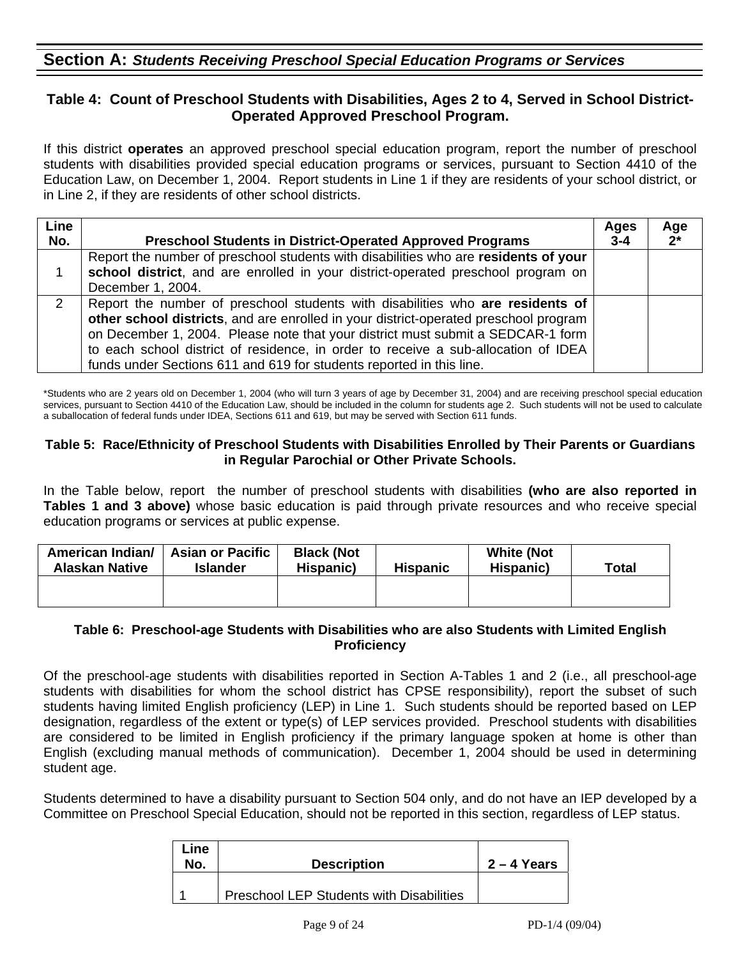## **Section A:** *Students Receiving Preschool Special Education Programs or Services*

### **Table 4: Count of Preschool Students with Disabilities, Ages 2 to 4, Served in School District-Operated Approved Preschool Program.**

If this district **operates** an approved preschool special education program, report the number of preschool students with disabilities provided special education programs or services, pursuant to Section 4410 of the Education Law, on December 1, 2004. Report students in Line 1 if they are residents of your school district, or in Line 2, if they are residents of other school districts.

| <b>Line</b><br>No. | <b>Preschool Students in District-Operated Approved Programs</b>                                                                                                                                                                                                                                                                                                                                                        | Ages<br>$3 - 4$ | Age<br>$2^*$ |
|--------------------|-------------------------------------------------------------------------------------------------------------------------------------------------------------------------------------------------------------------------------------------------------------------------------------------------------------------------------------------------------------------------------------------------------------------------|-----------------|--------------|
|                    | Report the number of preschool students with disabilities who are residents of your<br>school district, and are enrolled in your district-operated preschool program on<br>December 1, 2004.                                                                                                                                                                                                                            |                 |              |
| 2                  | Report the number of preschool students with disabilities who are residents of<br>other school districts, and are enrolled in your district-operated preschool program<br>on December 1, 2004. Please note that your district must submit a SEDCAR-1 form<br>to each school district of residence, in order to receive a sub-allocation of IDEA<br>funds under Sections 611 and 619 for students reported in this line. |                 |              |

\*Students who are 2 years old on December 1, 2004 (who will turn 3 years of age by December 31, 2004) and are receiving preschool special education services, pursuant to Section 4410 of the Education Law, should be included in the column for students age 2. Such students will not be used to calculate a suballocation of federal funds under IDEA, Sections 611 and 619, but may be served with Section 611 funds.

#### **Table 5: Race/Ethnicity of Preschool Students with Disabilities Enrolled by Their Parents or Guardians in Regular Parochial or Other Private Schools.**

In the Table below, report the number of preschool students with disabilities **(who are also reported in Tables 1 and 3 above)** whose basic education is paid through private resources and who receive special education programs or services at public expense.

| American Indian/<br><b>Alaskan Native</b> | <b>Asian or Pacific</b><br>Islander | <b>Black (Not</b><br>Hispanic) | <b>White (Not</b><br><b>Hispanic</b><br>Hispanic) |  | <b>Total</b> |
|-------------------------------------------|-------------------------------------|--------------------------------|---------------------------------------------------|--|--------------|
|                                           |                                     |                                |                                                   |  |              |

#### **Table 6: Preschool-age Students with Disabilities who are also Students with Limited English Proficiency**

Of the preschool-age students with disabilities reported in Section A-Tables 1 and 2 (i.e., all preschool-age students with disabilities for whom the school district has CPSE responsibility), report the subset of such students having limited English proficiency (LEP) in Line 1. Such students should be reported based on LEP designation, regardless of the extent or type(s) of LEP services provided. Preschool students with disabilities are considered to be limited in English proficiency if the primary language spoken at home is other than English (excluding manual methods of communication). December 1, 2004 should be used in determining student age.

Students determined to have a disability pursuant to Section 504 only, and do not have an IEP developed by a Committee on Preschool Special Education, should not be reported in this section, regardless of LEP status.

| Line<br>No. | <b>Description</b>                       | $2 - 4$ Years |
|-------------|------------------------------------------|---------------|
|             | Preschool LEP Students with Disabilities |               |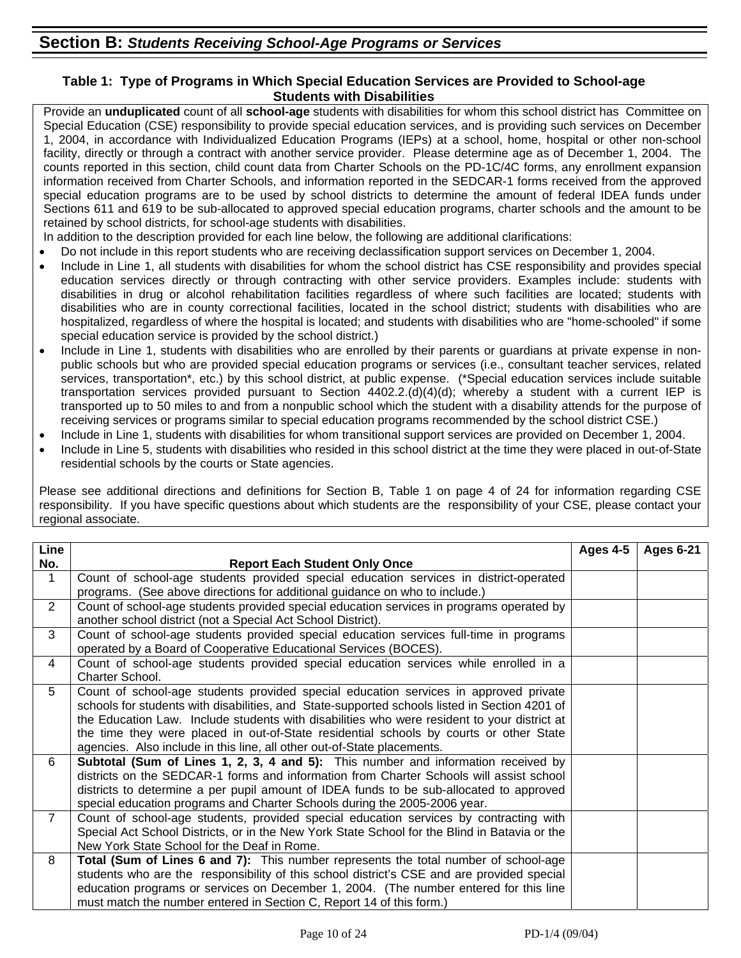#### **Table 1: Type of Programs in Which Special Education Services are Provided to School-age Students with Disabilities**

Provide an **unduplicated** count of all **school-age** students with disabilities for whom this school district has Committee on Special Education (CSE) responsibility to provide special education services, and is providing such services on December 1, 2004, in accordance with Individualized Education Programs (IEPs) at a school, home, hospital or other non-school facility, directly or through a contract with another service provider. Please determine age as of December 1, 2004. The counts reported in this section, child count data from Charter Schools on the PD-1C/4C forms, any enrollment expansion information received from Charter Schools, and information reported in the SEDCAR-1 forms received from the approved special education programs are to be used by school districts to determine the amount of federal IDEA funds under Sections 611 and 619 to be sub-allocated to approved special education programs, charter schools and the amount to be retained by school districts, for school-age students with disabilities.

- In addition to the description provided for each line below, the following are additional clarifications:
- Do not include in this report students who are receiving declassification support services on December 1, 2004.
- Include in Line 1, all students with disabilities for whom the school district has CSE responsibility and provides special education services directly or through contracting with other service providers. Examples include: students with disabilities in drug or alcohol rehabilitation facilities regardless of where such facilities are located; students with disabilities who are in county correctional facilities, located in the school district; students with disabilities who are hospitalized, regardless of where the hospital is located; and students with disabilities who are "home-schooled" if some special education service is provided by the school district.)
- Include in Line 1, students with disabilities who are enrolled by their parents or guardians at private expense in nonpublic schools but who are provided special education programs or services (i.e., consultant teacher services, related services, transportation\*, etc.) by this school district, at public expense. (\*Special education services include suitable transportation services provided pursuant to Section 4402.2.(d)(4)(d); whereby a student with a current IEP is transported up to 50 miles to and from a nonpublic school which the student with a disability attends for the purpose of receiving services or programs similar to special education programs recommended by the school district CSE.)
- Include in Line 1, students with disabilities for whom transitional support services are provided on December 1, 2004.
- Include in Line 5, students with disabilities who resided in this school district at the time they were placed in out-of-State residential schools by the courts or State agencies.

Please see additional directions and definitions for Section B, Table 1 on page 4 of 24 for information regarding CSE responsibility. If you have specific questions about which students are the responsibility of your CSE, please contact your regional associate.

| Line           |                                                                                                                                                                                                                                                                                                                                                                                                                                                           | Ages $4-5$ | <b>Ages 6-21</b> |
|----------------|-----------------------------------------------------------------------------------------------------------------------------------------------------------------------------------------------------------------------------------------------------------------------------------------------------------------------------------------------------------------------------------------------------------------------------------------------------------|------------|------------------|
| No.            | <b>Report Each Student Only Once</b>                                                                                                                                                                                                                                                                                                                                                                                                                      |            |                  |
| 1              | Count of school-age students provided special education services in district-operated<br>programs. (See above directions for additional guidance on who to include.)                                                                                                                                                                                                                                                                                      |            |                  |
| $\overline{2}$ | Count of school-age students provided special education services in programs operated by<br>another school district (not a Special Act School District).                                                                                                                                                                                                                                                                                                  |            |                  |
| 3              | Count of school-age students provided special education services full-time in programs<br>operated by a Board of Cooperative Educational Services (BOCES).                                                                                                                                                                                                                                                                                                |            |                  |
| 4              | Count of school-age students provided special education services while enrolled in a<br>Charter School.                                                                                                                                                                                                                                                                                                                                                   |            |                  |
| 5              | Count of school-age students provided special education services in approved private<br>schools for students with disabilities, and State-supported schools listed in Section 4201 of<br>the Education Law. Include students with disabilities who were resident to your district at<br>the time they were placed in out-of-State residential schools by courts or other State<br>agencies. Also include in this line, all other out-of-State placements. |            |                  |
| 6              | Subtotal (Sum of Lines 1, 2, 3, 4 and 5): This number and information received by<br>districts on the SEDCAR-1 forms and information from Charter Schools will assist school<br>districts to determine a per pupil amount of IDEA funds to be sub-allocated to approved<br>special education programs and Charter Schools during the 2005-2006 year.                                                                                                      |            |                  |
| $\overline{7}$ | Count of school-age students, provided special education services by contracting with<br>Special Act School Districts, or in the New York State School for the Blind in Batavia or the<br>New York State School for the Deaf in Rome.                                                                                                                                                                                                                     |            |                  |
| 8              | Total (Sum of Lines 6 and 7): This number represents the total number of school-age<br>students who are the responsibility of this school district's CSE and are provided special<br>education programs or services on December 1, 2004. (The number entered for this line<br>must match the number entered in Section C, Report 14 of this form.)                                                                                                        |            |                  |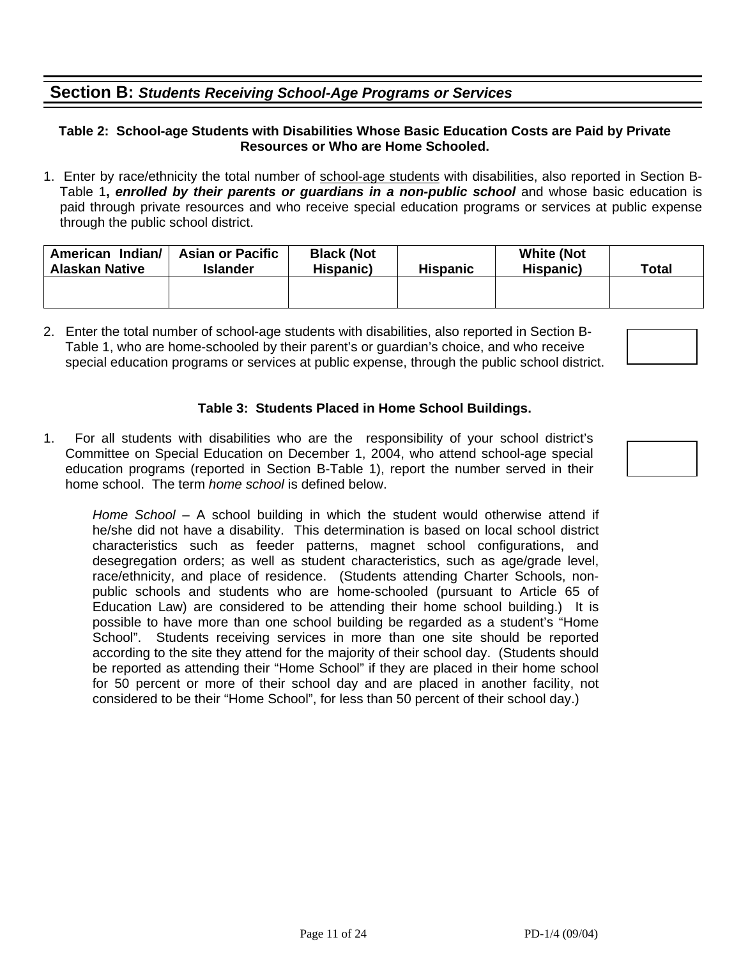## **Section B:** *Students Receiving School-Age Programs or Services*

#### **Table 2: School-age Students with Disabilities Whose Basic Education Costs are Paid by Private Resources or Who are Home Schooled.**

1. Enter by race/ethnicity the total number of school-age students with disabilities, also reported in Section B-Table 1**,** *enrolled by their parents or guardians in a non-public school* and whose basic education is paid through private resources and who receive special education programs or services at public expense through the public school district.

| American Indian/<br><b>Alaskan Native</b> | <b>Asian or Pacific</b><br><b>Islander</b> | <b>Black (Not</b><br>Hispanic)<br><b>Hispanic</b> |  | <b>White (Not</b><br>Hispanic) | Total |
|-------------------------------------------|--------------------------------------------|---------------------------------------------------|--|--------------------------------|-------|
|                                           |                                            |                                                   |  |                                |       |

2. Enter the total number of school-age students with disabilities, also reported in Section B-Table 1, who are home-schooled by their parent's or guardian's choice, and who receive special education programs or services at public expense, through the public school district.

#### **Table 3: Students Placed in Home School Buildings.**

1. For all students with disabilities who are the responsibility of your school district's Committee on Special Education on December 1, 2004, who attend school-age special education programs (reported in Section B-Table 1), report the number served in their home school. The term *home school* is defined below.

*Home School* – A school building in which the student would otherwise attend if he/she did not have a disability. This determination is based on local school district characteristics such as feeder patterns, magnet school configurations, and desegregation orders; as well as student characteristics, such as age/grade level, race/ethnicity, and place of residence. (Students attending Charter Schools, nonpublic schools and students who are home-schooled (pursuant to Article 65 of Education Law) are considered to be attending their home school building.) It is possible to have more than one school building be regarded as a student's "Home School". Students receiving services in more than one site should be reported according to the site they attend for the majority of their school day. (Students should be reported as attending their "Home School" if they are placed in their home school for 50 percent or more of their school day and are placed in another facility, not considered to be their "Home School", for less than 50 percent of their school day.)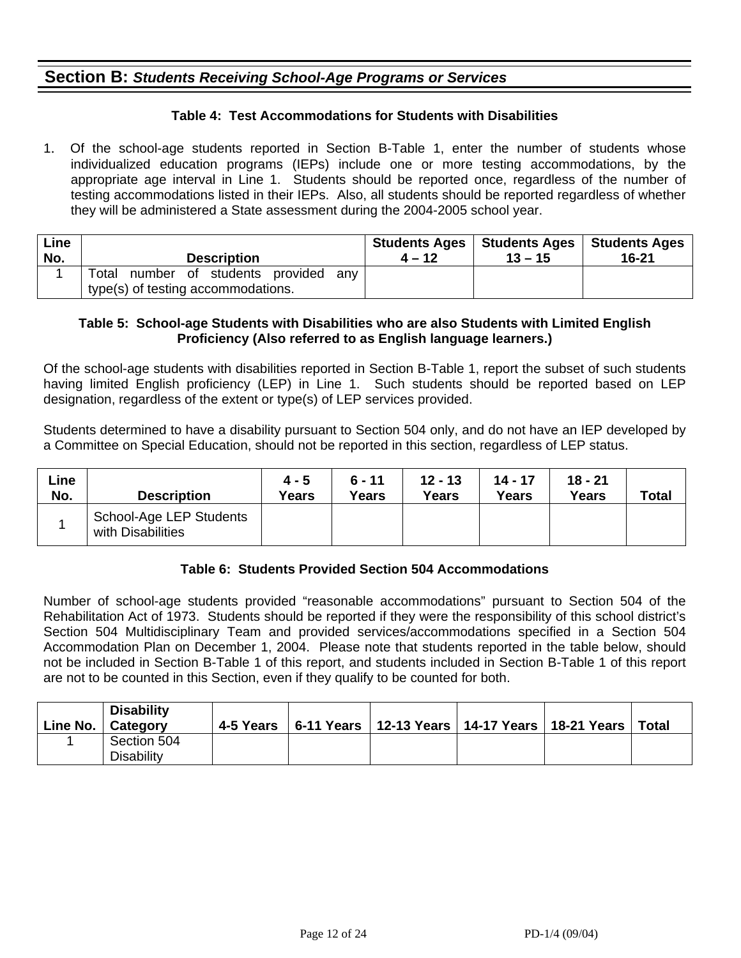### **Section B:** *Students Receiving School-Age Programs or Services*

#### **Table 4: Test Accommodations for Students with Disabilities**

1. Of the school-age students reported in Section B-Table 1, enter the number of students whose individualized education programs (IEPs) include one or more testing accommodations, by the appropriate age interval in Line 1. Students should be reported once, regardless of the number of testing accommodations listed in their IEPs. Also, all students should be reported regardless of whether they will be administered a State assessment during the 2004-2005 school year.

| Line | <b>Description</b>                                                                | <b>Students Ages</b> | Students Ages | <b>Students Ages</b> |
|------|-----------------------------------------------------------------------------------|----------------------|---------------|----------------------|
| No.  |                                                                                   | $4 - 12$             | $13 - 15$     | 16-21                |
|      | Total<br>number of students provided<br>anv<br>type(s) of testing accommodations. |                      |               |                      |

#### **Table 5: School-age Students with Disabilities who are also Students with Limited English Proficiency (Also referred to as English language learners.)**

Of the school-age students with disabilities reported in Section B-Table 1, report the subset of such students having limited English proficiency (LEP) in Line 1. Such students should be reported based on LEP designation, regardless of the extent or type(s) of LEP services provided.

Students determined to have a disability pursuant to Section 504 only, and do not have an IEP developed by a Committee on Special Education, should not be reported in this section, regardless of LEP status.

| ∟ine<br>No. | <b>Description</b>                           | $4 - 5$<br><b>Years</b> | $6 - 11$<br>Years | $12 - 13$<br><b>Years</b> | $14 - 17$<br>Years | $18 - 21$<br>Years | <b>Total</b> |
|-------------|----------------------------------------------|-------------------------|-------------------|---------------------------|--------------------|--------------------|--------------|
|             | School-Age LEP Students<br>with Disabilities |                         |                   |                           |                    |                    |              |

#### **Table 6: Students Provided Section 504 Accommodations**

Number of school-age students provided "reasonable accommodations" pursuant to Section 504 of the Rehabilitation Act of 1973. Students should be reported if they were the responsibility of this school district's Section 504 Multidisciplinary Team and provided services/accommodations specified in a Section 504 Accommodation Plan on December 1, 2004. Please note that students reported in the table below, should not be included in Section B-Table 1 of this report, and students included in Section B-Table 1 of this report are not to be counted in this Section, even if they qualify to be counted for both.

| Line No. | <b>Disability</b><br>∣ Cateqory  | 4-5 Years | 6-11 Years   12-13 Years   14-17 Years   18-21 Years |  | Total |
|----------|----------------------------------|-----------|------------------------------------------------------|--|-------|
|          | Section 504<br><b>Disability</b> |           |                                                      |  |       |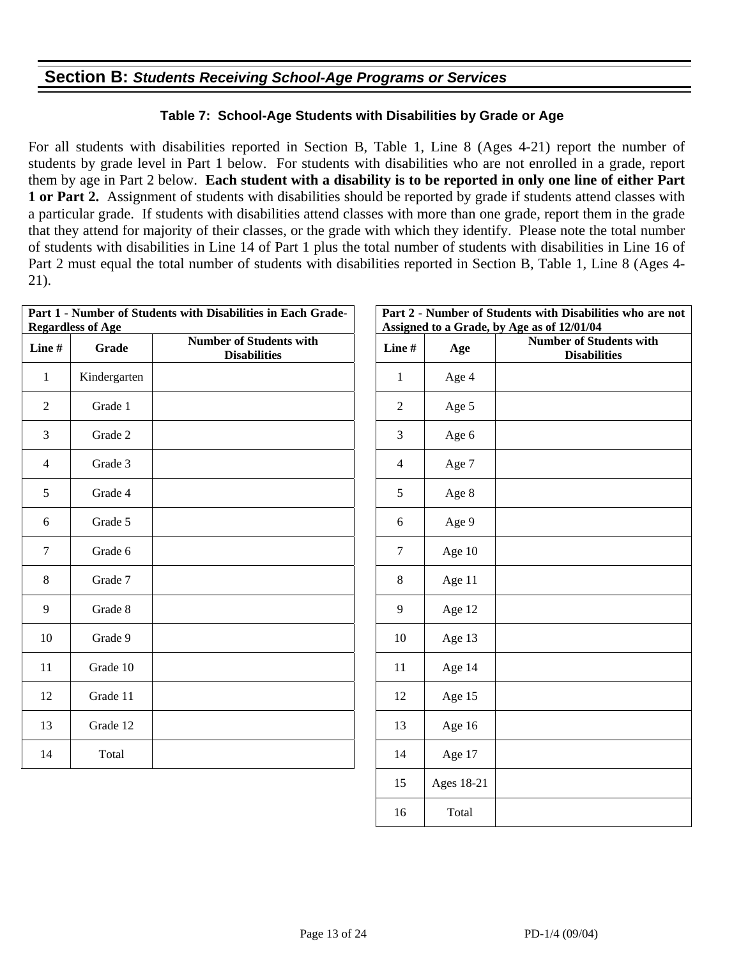### **Section B:** *Students Receiving School-Age Programs or Services*

#### **Table 7: School-Age Students with Disabilities by Grade or Age**

For all students with disabilities reported in Section B, Table 1, Line 8 (Ages 4-21) report the number of students by grade level in Part 1 below. For students with disabilities who are not enrolled in a grade, report them by age in Part 2 below. **Each student with a disability is to be reported in only one line of either Part 1 or Part 2.** Assignment of students with disabilities should be reported by grade if students attend classes with a particular grade. If students with disabilities attend classes with more than one grade, report them in the grade that they attend for majority of their classes, or the grade with which they identify. Please note the total number of students with disabilities in Line 14 of Part 1 plus the total number of students with disabilities in Line 16 of Part 2 must equal the total number of students with disabilities reported in Section B, Table 1, Line 8 (Ages 4- 21).

|                | <b>Regardless of Age</b> | Part 1 - Number of Students with Disabilities in Each Grade- |                | Part 2 - Number of<br><b>Assigned to a Grad</b> |
|----------------|--------------------------|--------------------------------------------------------------|----------------|-------------------------------------------------|
| Line#          | Grade                    | <b>Number of Students with</b><br><b>Disabilities</b>        | Line#          | Age                                             |
| $\mathbf{1}$   | Kindergarten             |                                                              | $\mathbf{1}$   | Age 4                                           |
| 2              | Grade 1                  |                                                              | 2              | Age 5                                           |
| 3              | Grade 2                  |                                                              | 3              | Age 6                                           |
| $\overline{4}$ | Grade 3                  |                                                              | $\overline{4}$ | Age 7                                           |
| 5              | Grade 4                  |                                                              | 5              | Age 8                                           |
| 6              | Grade 5                  |                                                              | 6              | Age 9                                           |
| $\overline{7}$ | Grade 6                  |                                                              | $\tau$         | Age 10                                          |
| $\,8\,$        | Grade 7                  |                                                              | 8              | Age 11                                          |
| 9              | Grade 8                  |                                                              | 9              | Age 12                                          |
| 10             | Grade 9                  |                                                              | 10             | Age 13                                          |
| 11             | Grade 10                 |                                                              | 11             | Age 14                                          |
| 12             | Grade 11                 |                                                              | 12             | Age 15                                          |
| 13             | Grade 12                 |                                                              | 13             | Age 16                                          |
| 14             | Total                    |                                                              | 14             | Age 17                                          |
|                |                          |                                                              |                |                                                 |

| abilities in Each Grade-                  |              |            | Part 2 - Number of Students with Disabilities who are not<br>Assigned to a Grade, by Age as of 12/01/04 |
|-------------------------------------------|--------------|------------|---------------------------------------------------------------------------------------------------------|
| r of Students with<br><b>Disabilities</b> | Line#        | Age        | <b>Number of Students with</b><br><b>Disabilities</b>                                                   |
|                                           | $\mathbf{1}$ | Age 4      |                                                                                                         |
|                                           | $\mathbf{2}$ | Age 5      |                                                                                                         |
|                                           | 3            | Age 6      |                                                                                                         |
|                                           | 4            | Age 7      |                                                                                                         |
|                                           | 5            | Age 8      |                                                                                                         |
|                                           | 6            | Age 9      |                                                                                                         |
|                                           | 7            | Age 10     |                                                                                                         |
|                                           | 8            | Age 11     |                                                                                                         |
|                                           | 9            | Age 12     |                                                                                                         |
|                                           | 10           | Age 13     |                                                                                                         |
|                                           | 11           | Age 14     |                                                                                                         |
|                                           | 12           | Age 15     |                                                                                                         |
|                                           | 13           | Age 16     |                                                                                                         |
|                                           | 14           | Age 17     |                                                                                                         |
|                                           | 15           | Ages 18-21 |                                                                                                         |
|                                           | 16           | Total      |                                                                                                         |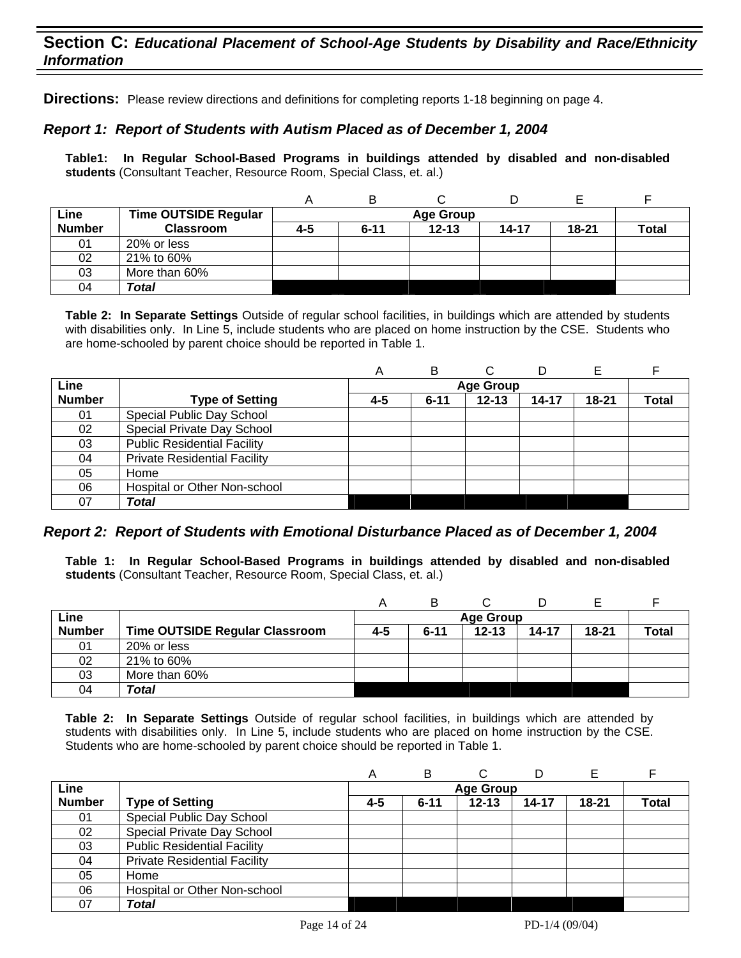### **Section C:** *Educational Placement of School-Age Students by Disability and Race/Ethnicity Information*

**Directions:** Please review directions and definitions for completing reports 1-18 beginning on page 4.

#### *Report 1: Report of Students with Autism Placed as of December 1, 2004*

**Table1: In Regular School-Based Programs in buildings attended by disabled and non-disabled students** (Consultant Teacher, Resource Room, Special Class, et. al.)

|               |                             | A   | В        |                  |       |       |              |
|---------------|-----------------------------|-----|----------|------------------|-------|-------|--------------|
| Line          | <b>Time OUTSIDE Regular</b> |     |          | <b>Age Group</b> |       |       |              |
| <b>Number</b> | <b>Classroom</b>            | 4-5 | $6 - 11$ | $12 - 13$        | 14-17 | 18-21 | <b>Total</b> |
| 01            | 20% or less                 |     |          |                  |       |       |              |
| 02            | 21% to 60%                  |     |          |                  |       |       |              |
| 03            | More than 60%               |     |          |                  |       |       |              |
| 04            | Total                       |     |          |                  |       |       |              |

**Table 2: In Separate Settings** Outside of regular school facilities, in buildings which are attended by students with disabilities only. In Line 5, include students who are placed on home instruction by the CSE. Students who are home-schooled by parent choice should be reported in Table 1.

|               |                                     | Α   | B        |                  | D     |           |       |
|---------------|-------------------------------------|-----|----------|------------------|-------|-----------|-------|
| Line          |                                     |     |          | <b>Age Group</b> |       |           |       |
| <b>Number</b> | <b>Type of Setting</b>              | 4-5 | $6 - 11$ | $12 - 13$        | 14-17 | $18 - 21$ | Total |
| 01            | Special Public Day School           |     |          |                  |       |           |       |
| 02            | Special Private Day School          |     |          |                  |       |           |       |
| 03            | <b>Public Residential Facility</b>  |     |          |                  |       |           |       |
| 04            | <b>Private Residential Facility</b> |     |          |                  |       |           |       |
| 05            | Home                                |     |          |                  |       |           |       |
| 06            | Hospital or Other Non-school        |     |          |                  |       |           |       |
| 07            | <b>Total</b>                        |     |          |                  |       |           |       |

#### *Report 2: Report of Students with Emotional Disturbance Placed as of December 1, 2004*

**Table 1: In Regular School-Based Programs in buildings attended by disabled and non-disabled students** (Consultant Teacher, Resource Room, Special Class, et. al.)

| Line          |                                       |     | <b>Age Group</b> |           |           |           |       |  |
|---------------|---------------------------------------|-----|------------------|-----------|-----------|-----------|-------|--|
| <b>Number</b> | <b>Time OUTSIDE Regular Classroom</b> | 4-5 | $6 - 11$         | $12 - 13$ | $14 - 17$ | $18 - 21$ | Total |  |
| 01            | 20% or less                           |     |                  |           |           |           |       |  |
| 02            | 21% to 60%                            |     |                  |           |           |           |       |  |
| 03            | More than 60%                         |     |                  |           |           |           |       |  |
| 04            | <b>Total</b>                          |     |                  |           |           |           |       |  |

|               |                                     | A   | В                |           | D     | Е     |              |  |
|---------------|-------------------------------------|-----|------------------|-----------|-------|-------|--------------|--|
| Line          |                                     |     | <b>Age Group</b> |           |       |       |              |  |
| <b>Number</b> | <b>Type of Setting</b>              | 4-5 | $6 - 11$         | $12 - 13$ | 14-17 | 18-21 | <b>Total</b> |  |
| 01            | Special Public Day School           |     |                  |           |       |       |              |  |
| 02            | Special Private Day School          |     |                  |           |       |       |              |  |
| 03            | <b>Public Residential Facility</b>  |     |                  |           |       |       |              |  |
| 04            | <b>Private Residential Facility</b> |     |                  |           |       |       |              |  |
| 05            | Home                                |     |                  |           |       |       |              |  |
| 06            | Hospital or Other Non-school        |     |                  |           |       |       |              |  |
| 07            | <b>Total</b>                        |     |                  |           |       |       |              |  |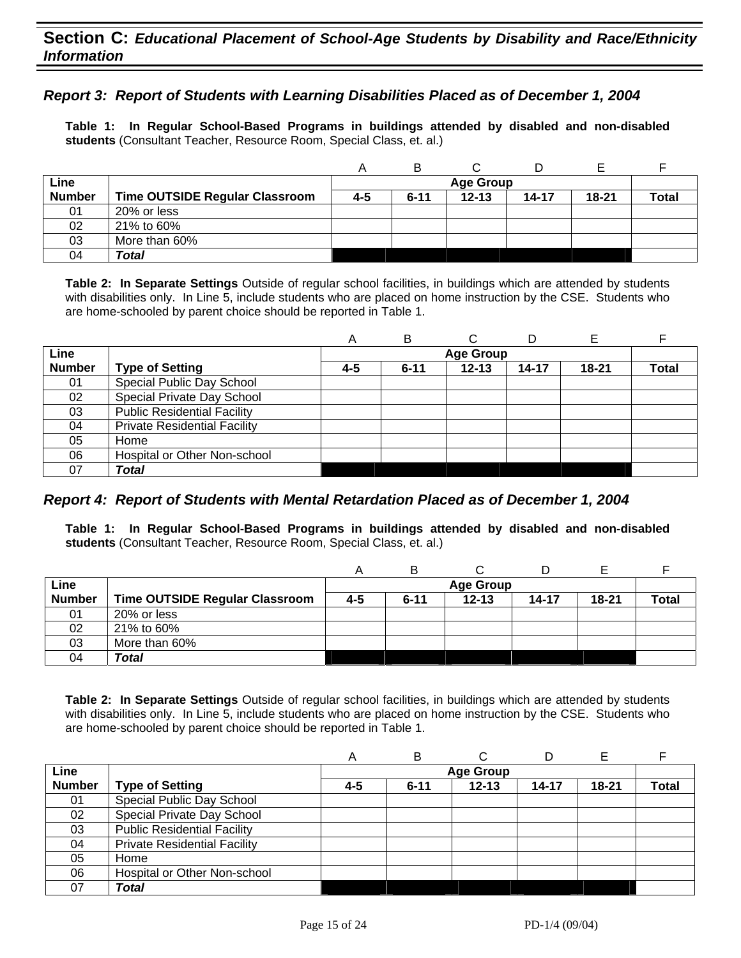### **Section C:** *Educational Placement of School-Age Students by Disability and Race/Ethnicity Information*

#### *Report 3: Report of Students with Learning Disabilities Placed as of December 1, 2004*

**Table 1: In Regular School-Based Programs in buildings attended by disabled and non-disabled students** (Consultant Teacher, Resource Room, Special Class, et. al.)

|               |                                       | Α   | в        |           |           |           |              |
|---------------|---------------------------------------|-----|----------|-----------|-----------|-----------|--------------|
| Line          |                                       |     |          |           |           |           |              |
| <b>Number</b> | <b>Time OUTSIDE Regular Classroom</b> | 4-5 | $6 - 11$ | $12 - 13$ | $14 - 17$ | $18 - 21$ | <b>Total</b> |
| 01            | 20% or less                           |     |          |           |           |           |              |
| 02            | 21% to 60%                            |     |          |           |           |           |              |
| 03            | More than 60%                         |     |          |           |           |           |              |
| 04            | Total                                 |     |          |           |           |           |              |

**Table 2: In Separate Settings** Outside of regular school facilities, in buildings which are attended by students with disabilities only. In Line 5, include students who are placed on home instruction by the CSE. Students who are home-schooled by parent choice should be reported in Table 1.

|               |                                     | A   | в                |           | D     |           |              |  |
|---------------|-------------------------------------|-----|------------------|-----------|-------|-----------|--------------|--|
| Line          |                                     |     | <b>Age Group</b> |           |       |           |              |  |
| <b>Number</b> | <b>Type of Setting</b>              | 4-5 | $6 - 11$         | $12 - 13$ | 14-17 | $18 - 21$ | <b>Total</b> |  |
| 01            | Special Public Day School           |     |                  |           |       |           |              |  |
| 02            | Special Private Day School          |     |                  |           |       |           |              |  |
| 03            | <b>Public Residential Facility</b>  |     |                  |           |       |           |              |  |
| 04            | <b>Private Residential Facility</b> |     |                  |           |       |           |              |  |
| 05            | Home                                |     |                  |           |       |           |              |  |
| 06            | Hospital or Other Non-school        |     |                  |           |       |           |              |  |
| 07            | Total                               |     |                  |           |       |           |              |  |

#### *Report 4: Report of Students with Mental Retardation Placed as of December 1, 2004*

**Table 1: In Regular School-Based Programs in buildings attended by disabled and non-disabled students** (Consultant Teacher, Resource Room, Special Class, et. al.)

|               |                                       | А   | B                |           |       |           |       |  |  |
|---------------|---------------------------------------|-----|------------------|-----------|-------|-----------|-------|--|--|
| Line          |                                       |     | <b>Age Group</b> |           |       |           |       |  |  |
| <b>Number</b> | <b>Time OUTSIDE Regular Classroom</b> | 4-5 | $6 - 11$         | $12 - 13$ | 14-17 | $18 - 21$ | Total |  |  |
| 01            | 20% or less                           |     |                  |           |       |           |       |  |  |
| 02            | 21% to 60%                            |     |                  |           |       |           |       |  |  |
| 03            | More than 60%                         |     |                  |           |       |           |       |  |  |
| 04            | Total                                 |     |                  |           |       |           |       |  |  |

|               |                                     | A                | B        | ⌒         |           |           |              |  |  |
|---------------|-------------------------------------|------------------|----------|-----------|-----------|-----------|--------------|--|--|
| Line          |                                     | <b>Age Group</b> |          |           |           |           |              |  |  |
| <b>Number</b> | <b>Type of Setting</b>              | 4-5              | $6 - 11$ | $12 - 13$ | $14 - 17$ | $18 - 21$ | <b>Total</b> |  |  |
| 01            | Special Public Day School           |                  |          |           |           |           |              |  |  |
| 02            | Special Private Day School          |                  |          |           |           |           |              |  |  |
| 03            | <b>Public Residential Facility</b>  |                  |          |           |           |           |              |  |  |
| 04            | <b>Private Residential Facility</b> |                  |          |           |           |           |              |  |  |
| 05            | Home                                |                  |          |           |           |           |              |  |  |
| 06            | Hospital or Other Non-school        |                  |          |           |           |           |              |  |  |
| 07            | Total                               |                  |          |           |           |           |              |  |  |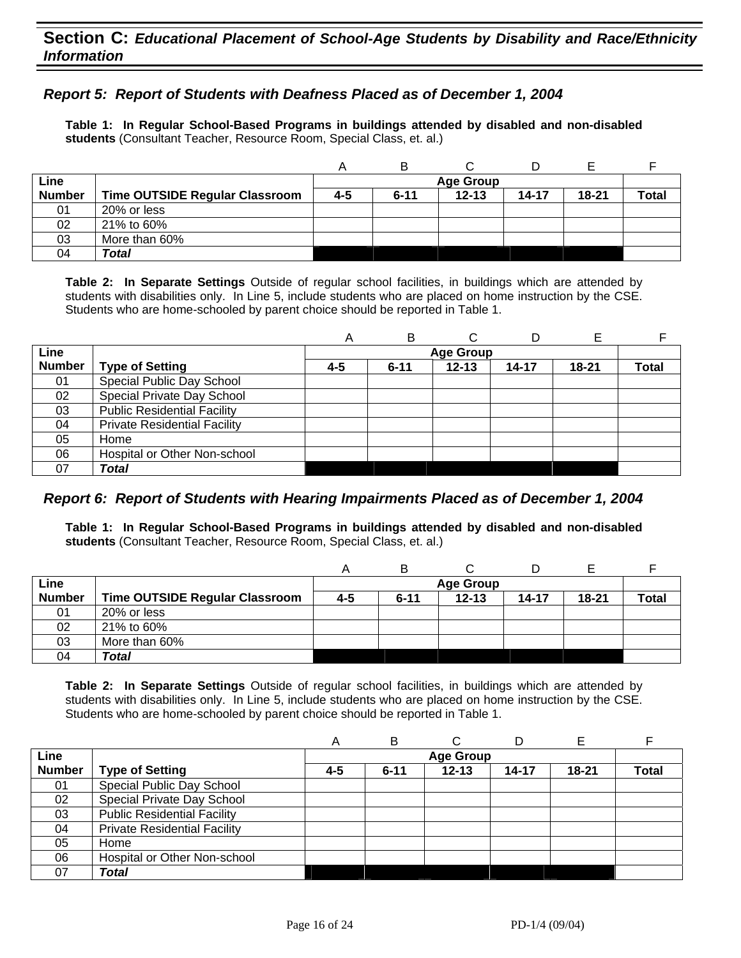#### *Report 5: Report of Students with Deafness Placed as of December 1, 2004*

**Table 1: In Regular School-Based Programs in buildings attended by disabled and non-disabled students** (Consultant Teacher, Resource Room, Special Class, et. al.)

|               |                                       | Α       | в                |           |       |           |              |  |  |  |
|---------------|---------------------------------------|---------|------------------|-----------|-------|-----------|--------------|--|--|--|
| Line          |                                       |         | <b>Age Group</b> |           |       |           |              |  |  |  |
| <b>Number</b> | <b>Time OUTSIDE Regular Classroom</b> | $4 - 5$ | $6 - 11$         | $12 - 13$ | 14-17 | $18 - 21$ | <b>Total</b> |  |  |  |
| 01            | 20% or less                           |         |                  |           |       |           |              |  |  |  |
| 02            | 21% to 60%                            |         |                  |           |       |           |              |  |  |  |
| 03            | More than 60%                         |         |                  |           |       |           |              |  |  |  |
| 04            | <b>Total</b>                          |         |                  |           |       |           |              |  |  |  |

**Table 2: In Separate Settings** Outside of regular school facilities, in buildings which are attended by students with disabilities only. In Line 5, include students who are placed on home instruction by the CSE. Students who are home-schooled by parent choice should be reported in Table 1.

|               |                                     | A   | в        |                  |           |           |       |
|---------------|-------------------------------------|-----|----------|------------------|-----------|-----------|-------|
| Line          |                                     |     |          | <b>Age Group</b> |           |           |       |
| <b>Number</b> | <b>Type of Setting</b>              | 4-5 | $6 - 11$ | $12 - 13$        | $14 - 17$ | $18 - 21$ | Total |
| 01            | Special Public Day School           |     |          |                  |           |           |       |
| 02            | Special Private Day School          |     |          |                  |           |           |       |
| 03            | <b>Public Residential Facility</b>  |     |          |                  |           |           |       |
| 04            | <b>Private Residential Facility</b> |     |          |                  |           |           |       |
| 05            | Home                                |     |          |                  |           |           |       |
| 06            | Hospital or Other Non-school        |     |          |                  |           |           |       |
| 07            | Total                               |     |          |                  |           |           |       |

#### *Report 6: Report of Students with Hearing Impairments Placed as of December 1, 2004*

**Table 1: In Regular School-Based Programs in buildings attended by disabled and non-disabled students** (Consultant Teacher, Resource Room, Special Class, et. al.)

|               |                                | A   | В        |                  |       |           |       |
|---------------|--------------------------------|-----|----------|------------------|-------|-----------|-------|
| Line          |                                |     |          | <b>Age Group</b> |       |           |       |
| <b>Number</b> | Time OUTSIDE Regular Classroom | 4-5 | $6 - 11$ | $12 - 13$        | 14-17 | $18 - 21$ | Total |
| 01            | 20% or less                    |     |          |                  |       |           |       |
| 02            | 21% to 60%                     |     |          |                  |       |           |       |
| 03            | More than 60%                  |     |          |                  |       |           |       |
| 04            | Total                          |     |          |                  |       |           |       |

|               |                                     | A   | B        |                  |           |           |              |
|---------------|-------------------------------------|-----|----------|------------------|-----------|-----------|--------------|
| Line          |                                     |     |          | <b>Age Group</b> |           |           |              |
| <b>Number</b> | <b>Type of Setting</b>              | 4-5 | $6 - 11$ | $12 - 13$        | $14 - 17$ | $18 - 21$ | <b>Total</b> |
| 01            | Special Public Day School           |     |          |                  |           |           |              |
| 02            | Special Private Day School          |     |          |                  |           |           |              |
| 03            | <b>Public Residential Facility</b>  |     |          |                  |           |           |              |
| 04            | <b>Private Residential Facility</b> |     |          |                  |           |           |              |
| 05            | Home                                |     |          |                  |           |           |              |
| 06            | Hospital or Other Non-school        |     |          |                  |           |           |              |
| 07            | Total                               |     |          |                  |           |           |              |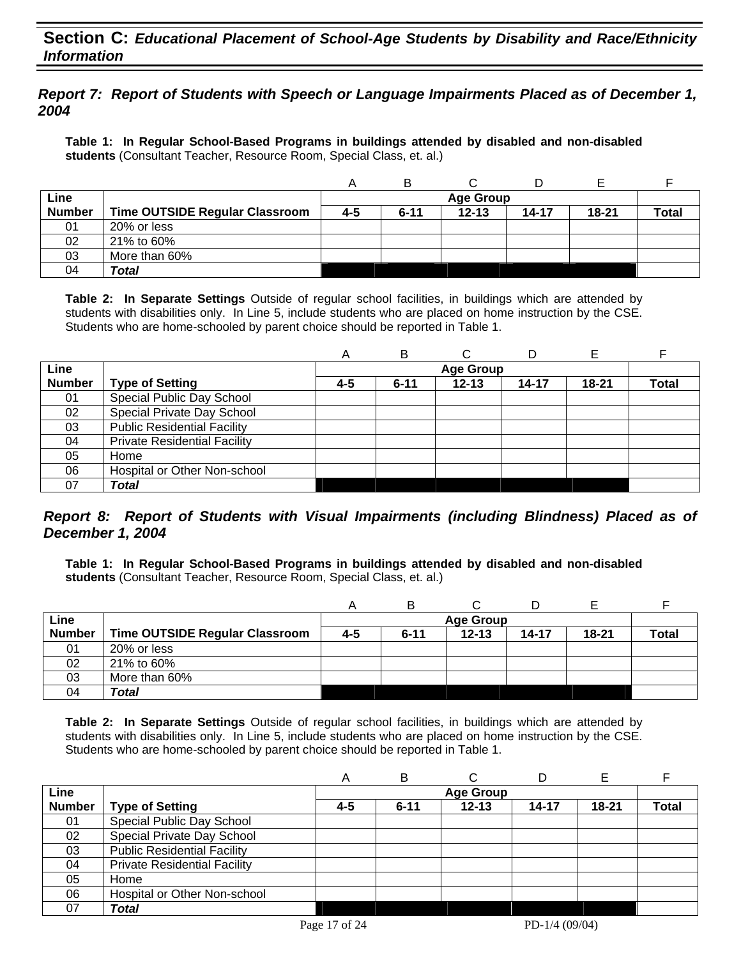### **Section C:** *Educational Placement of School-Age Students by Disability and Race/Ethnicity Information*

#### *Report 7: Report of Students with Speech or Language Impairments Placed as of December 1, 2004*

**Table 1: In Regular School-Based Programs in buildings attended by disabled and non-disabled students** (Consultant Teacher, Resource Room, Special Class, et. al.)

|               |                                       |     | в                |           |       |           |              |  |  |  |
|---------------|---------------------------------------|-----|------------------|-----------|-------|-----------|--------------|--|--|--|
| Line          |                                       |     | <b>Age Group</b> |           |       |           |              |  |  |  |
| <b>Number</b> | <b>Time OUTSIDE Regular Classroom</b> | 4-5 | $6 - 11$         | $12 - 13$ | 14-17 | $18 - 21$ | <b>Total</b> |  |  |  |
| 01            | 20% or less                           |     |                  |           |       |           |              |  |  |  |
| 02            | 21% to 60%                            |     |                  |           |       |           |              |  |  |  |
| 03            | More than 60%                         |     |                  |           |       |           |              |  |  |  |
| 04            | Total                                 |     |                  |           |       |           |              |  |  |  |

**Table 2: In Separate Settings** Outside of regular school facilities, in buildings which are attended by students with disabilities only. In Line 5, include students who are placed on home instruction by the CSE. Students who are home-schooled by parent choice should be reported in Table 1.

|               |                                     | Α   | В        | C                |           |           |              |
|---------------|-------------------------------------|-----|----------|------------------|-----------|-----------|--------------|
| Line          |                                     |     |          | <b>Age Group</b> |           |           |              |
| <b>Number</b> | <b>Type of Setting</b>              | 4-5 | $6 - 11$ | $12 - 13$        | $14 - 17$ | $18 - 21$ | <b>Total</b> |
| 01            | Special Public Day School           |     |          |                  |           |           |              |
| 02            | Special Private Day School          |     |          |                  |           |           |              |
| 03            | <b>Public Residential Facility</b>  |     |          |                  |           |           |              |
| 04            | <b>Private Residential Facility</b> |     |          |                  |           |           |              |
| 05            | Home                                |     |          |                  |           |           |              |
| 06            | Hospital or Other Non-school        |     |          |                  |           |           |              |
| 07            | Total                               |     |          |                  |           |           |              |

#### *Report 8: Report of Students with Visual Impairments (including Blindness) Placed as of December 1, 2004*

**Table 1: In Regular School-Based Programs in buildings attended by disabled and non-disabled students** (Consultant Teacher, Resource Room, Special Class, et. al.)

|               |                                       |     | в        |                  |           |           |              |
|---------------|---------------------------------------|-----|----------|------------------|-----------|-----------|--------------|
| Line          |                                       |     |          | <b>Age Group</b> |           |           |              |
| <b>Number</b> | <b>Time OUTSIDE Regular Classroom</b> | 4-5 | $6 - 11$ | $12 - 13$        | $14 - 17$ | $18 - 21$ | <b>Total</b> |
| 01            | 20% or less                           |     |          |                  |           |           |              |
| 02            | 21% to 60%                            |     |          |                  |           |           |              |
| 03            | More than 60%                         |     |          |                  |           |           |              |
| 04            | Total                                 |     |          |                  |           |           |              |

|               |                                     | A   | в        |                  |       |       |       |
|---------------|-------------------------------------|-----|----------|------------------|-------|-------|-------|
| Line          |                                     |     |          | <b>Age Group</b> |       |       |       |
| <b>Number</b> | <b>Type of Setting</b>              | 4-5 | $6 - 11$ | $12 - 13$        | 14-17 | 18-21 | Total |
| 01            | Special Public Day School           |     |          |                  |       |       |       |
| 02            | Special Private Day School          |     |          |                  |       |       |       |
| 03            | <b>Public Residential Facility</b>  |     |          |                  |       |       |       |
| 04            | <b>Private Residential Facility</b> |     |          |                  |       |       |       |
| 05            | Home                                |     |          |                  |       |       |       |
| 06            | Hospital or Other Non-school        |     |          |                  |       |       |       |
| 07            | Total                               |     |          |                  |       |       |       |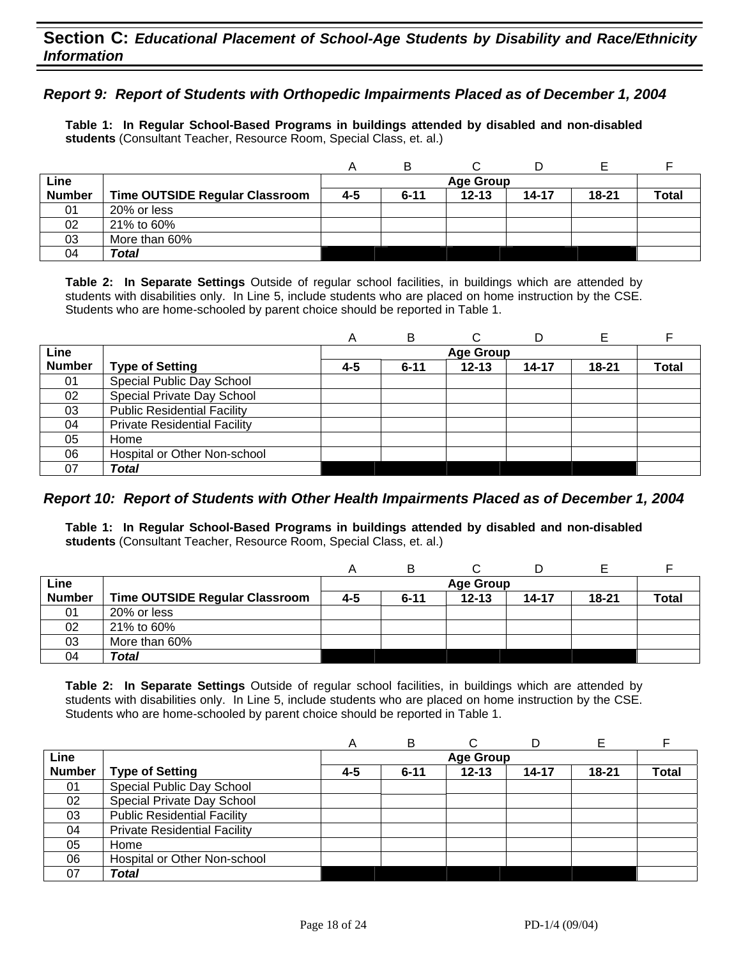#### *Report 9: Report of Students with Orthopedic Impairments Placed as of December 1, 2004*

**Table 1: In Regular School-Based Programs in buildings attended by disabled and non-disabled students** (Consultant Teacher, Resource Room, Special Class, et. al.)

|               |                                |     | В        |                  |       |       |              |
|---------------|--------------------------------|-----|----------|------------------|-------|-------|--------------|
| Line          |                                |     |          | <b>Age Group</b> |       |       |              |
| <b>Number</b> | Time OUTSIDE Regular Classroom | 4-5 | $6 - 11$ | $12 - 13$        | 14-17 | 18-21 | <b>Total</b> |
| 01            | 20% or less                    |     |          |                  |       |       |              |
| 02            | 21% to 60%                     |     |          |                  |       |       |              |
| 03            | More than 60%                  |     |          |                  |       |       |              |
| 04            | Total                          |     |          |                  |       |       |              |

**Table 2: In Separate Settings** Outside of regular school facilities, in buildings which are attended by students with disabilities only. In Line 5, include students who are placed on home instruction by the CSE. Students who are home-schooled by parent choice should be reported in Table 1.

|               |                                     | А   | В        |                  | D         | Е         |              |
|---------------|-------------------------------------|-----|----------|------------------|-----------|-----------|--------------|
| Line          |                                     |     |          | <b>Age Group</b> |           |           |              |
| <b>Number</b> | <b>Type of Setting</b>              | 4-5 | $6 - 11$ | $12 - 13$        | $14 - 17$ | $18 - 21$ | <b>Total</b> |
| 01            | Special Public Day School           |     |          |                  |           |           |              |
| 02            | Special Private Day School          |     |          |                  |           |           |              |
| 03            | <b>Public Residential Facility</b>  |     |          |                  |           |           |              |
| 04            | <b>Private Residential Facility</b> |     |          |                  |           |           |              |
| 05            | Home                                |     |          |                  |           |           |              |
| 06            | Hospital or Other Non-school        |     |          |                  |           |           |              |
| 07            | <b>Total</b>                        |     |          |                  |           |           |              |

#### *Report 10: Report of Students with Other Health Impairments Placed as of December 1, 2004*

**Table 1: In Regular School-Based Programs in buildings attended by disabled and non-disabled students** (Consultant Teacher, Resource Room, Special Class, et. al.)

| Line          |                                |     |          | <b>Age Group</b> |           |       |              |
|---------------|--------------------------------|-----|----------|------------------|-----------|-------|--------------|
| <b>Number</b> | Time OUTSIDE Regular Classroom | 4-5 | $6 - 11$ | $12 - 13$        | $14 - 17$ | 18-21 | <b>Total</b> |
| 01            | 20% or less                    |     |          |                  |           |       |              |
| 02            | 21% to 60%                     |     |          |                  |           |       |              |
| 03            | More than 60%                  |     |          |                  |           |       |              |
| 04            | Total                          |     |          |                  |           |       |              |

|               |                                     | А   | B        |                  |       | Е         |              |
|---------------|-------------------------------------|-----|----------|------------------|-------|-----------|--------------|
| Line          |                                     |     |          | <b>Age Group</b> |       |           |              |
| <b>Number</b> | <b>Type of Setting</b>              | 4-5 | $6 - 11$ | $12 - 13$        | 14-17 | $18 - 21$ | <b>Total</b> |
| 01            | Special Public Day School           |     |          |                  |       |           |              |
| 02            | Special Private Day School          |     |          |                  |       |           |              |
| 03            | <b>Public Residential Facility</b>  |     |          |                  |       |           |              |
| 04            | <b>Private Residential Facility</b> |     |          |                  |       |           |              |
| 05            | Home                                |     |          |                  |       |           |              |
| 06            | Hospital or Other Non-school        |     |          |                  |       |           |              |
| 07            | <b>Total</b>                        |     |          |                  |       |           |              |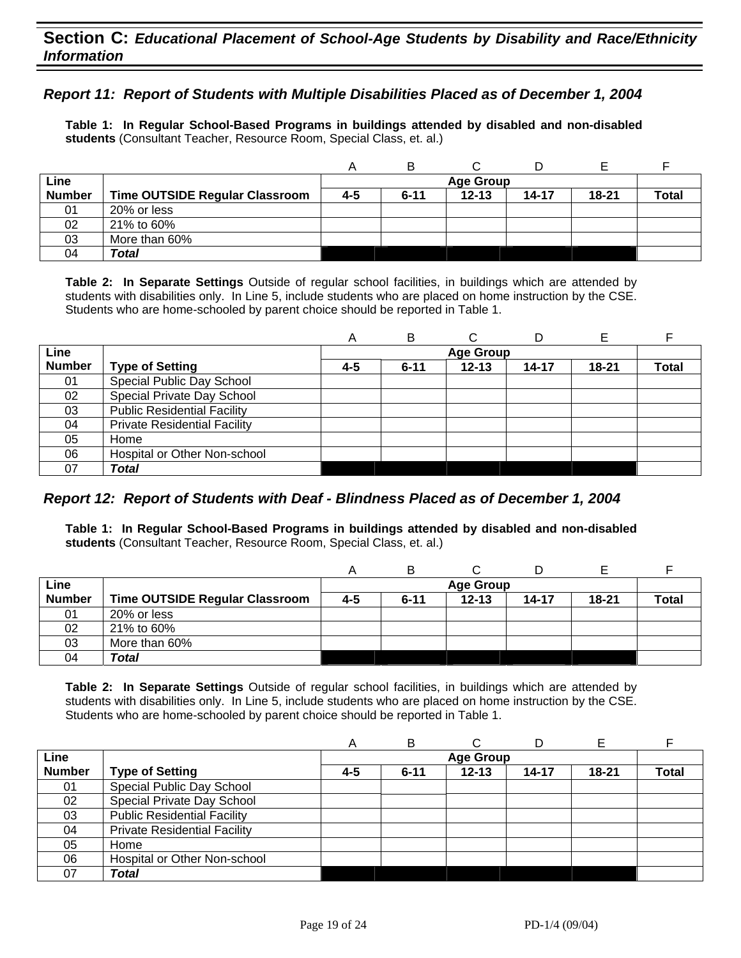#### *Report 11: Report of Students with Multiple Disabilities Placed as of December 1, 2004*

**Table 1: In Regular School-Based Programs in buildings attended by disabled and non-disabled students** (Consultant Teacher, Resource Room, Special Class, et. al.)

|               |                                |     | B        |                  |           |           |              |
|---------------|--------------------------------|-----|----------|------------------|-----------|-----------|--------------|
| Line          |                                |     |          | <b>Age Group</b> |           |           |              |
| <b>Number</b> | Time OUTSIDE Regular Classroom | 4-5 | $6 - 11$ | $12 - 13$        | $14 - 17$ | $18 - 21$ | <b>Total</b> |
| 01            | 20% or less                    |     |          |                  |           |           |              |
| 02            | 21% to 60%                     |     |          |                  |           |           |              |
| 03            | More than 60%                  |     |          |                  |           |           |              |
| 04            | Total                          |     |          |                  |           |           |              |

**Table 2: In Separate Settings** Outside of regular school facilities, in buildings which are attended by students with disabilities only. In Line 5, include students who are placed on home instruction by the CSE. Students who are home-schooled by parent choice should be reported in Table 1.

|               |                                     | A   | В        |                  | D         |           |       |
|---------------|-------------------------------------|-----|----------|------------------|-----------|-----------|-------|
| Line          |                                     |     |          | <b>Age Group</b> |           |           |       |
| <b>Number</b> | <b>Type of Setting</b>              | 4-5 | $6 - 11$ | $12 - 13$        | $14 - 17$ | $18 - 21$ | Total |
| 01            | Special Public Day School           |     |          |                  |           |           |       |
| 02            | Special Private Day School          |     |          |                  |           |           |       |
| 03            | <b>Public Residential Facility</b>  |     |          |                  |           |           |       |
| 04            | <b>Private Residential Facility</b> |     |          |                  |           |           |       |
| 05            | Home                                |     |          |                  |           |           |       |
| 06            | Hospital or Other Non-school        |     |          |                  |           |           |       |
| 07            | Total                               |     |          |                  |           |           |       |

### *Report 12: Report of Students with Deaf - Blindness Placed as of December 1, 2004*

**Table 1: In Regular School-Based Programs in buildings attended by disabled and non-disabled students** (Consultant Teacher, Resource Room, Special Class, et. al.)

|               |                                       |     | В        |                  |           |           |              |
|---------------|---------------------------------------|-----|----------|------------------|-----------|-----------|--------------|
| Line          |                                       |     |          | <b>Age Group</b> |           |           |              |
| <b>Number</b> | <b>Time OUTSIDE Regular Classroom</b> | 4-5 | $6 - 11$ | $12 - 13$        | $14 - 17$ | $18 - 21$ | <b>Total</b> |
| 01            | 20% or less                           |     |          |                  |           |           |              |
| 02            | 21% to 60%                            |     |          |                  |           |           |              |
| 03            | More than 60%                         |     |          |                  |           |           |              |
| 04            | Total                                 |     |          |                  |           |           |              |

|               |                                     | A       | В        | ⌒                |           |           |              |
|---------------|-------------------------------------|---------|----------|------------------|-----------|-----------|--------------|
| Line          |                                     |         |          | <b>Age Group</b> |           |           |              |
| <b>Number</b> | <b>Type of Setting</b>              | $4 - 5$ | $6 - 11$ | $12 - 13$        | $14 - 17$ | $18 - 21$ | <b>Total</b> |
| 01            | Special Public Day School           |         |          |                  |           |           |              |
| 02            | Special Private Day School          |         |          |                  |           |           |              |
| 03            | <b>Public Residential Facility</b>  |         |          |                  |           |           |              |
| 04            | <b>Private Residential Facility</b> |         |          |                  |           |           |              |
| 05            | Home                                |         |          |                  |           |           |              |
| 06            | Hospital or Other Non-school        |         |          |                  |           |           |              |
| 07            | <b>Total</b>                        |         |          |                  |           |           |              |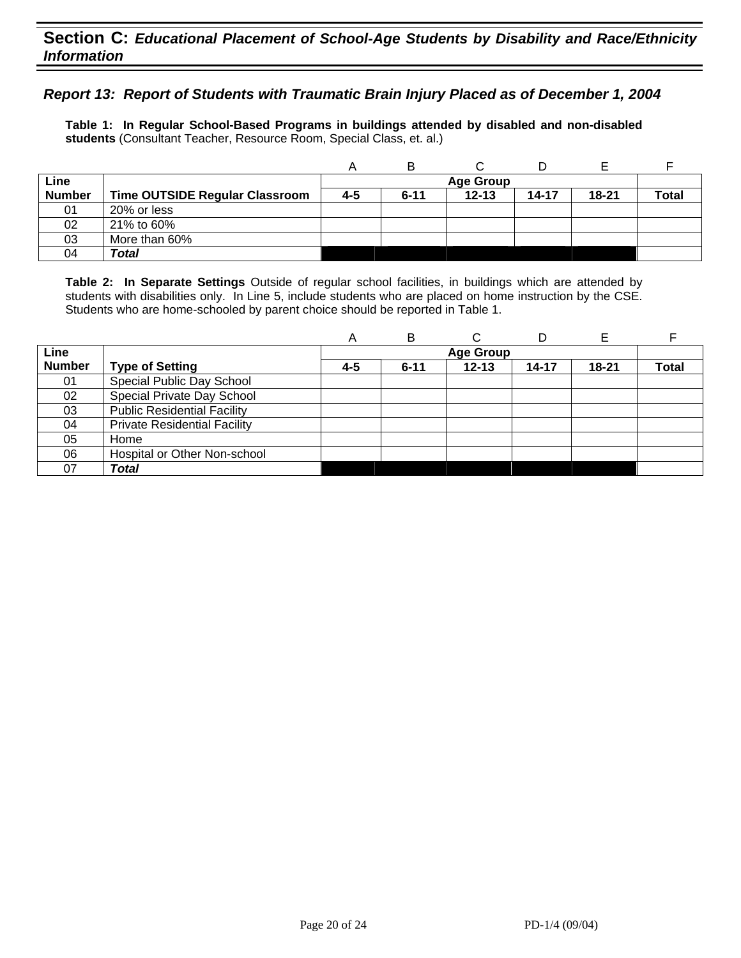#### *Report 13: Report of Students with Traumatic Brain Injury Placed as of December 1, 2004*

**Table 1: In Regular School-Based Programs in buildings attended by disabled and non-disabled students** (Consultant Teacher, Resource Room, Special Class, et. al.)

|               |                                |     | B        |                  |           |       |              |
|---------------|--------------------------------|-----|----------|------------------|-----------|-------|--------------|
| Line          |                                |     |          | <b>Age Group</b> |           |       |              |
| <b>Number</b> | Time OUTSIDE Regular Classroom | 4-5 | $6 - 11$ | $12 - 13$        | $14 - 17$ | 18-21 | <b>Total</b> |
| 01            | 20% or less                    |     |          |                  |           |       |              |
| 02            | 21% to 60%                     |     |          |                  |           |       |              |
| 03            | More than 60%                  |     |          |                  |           |       |              |
| 04            | Total                          |     |          |                  |           |       |              |

|               |                                     | А   | В        | ⌒                | D     | Е         |              |
|---------------|-------------------------------------|-----|----------|------------------|-------|-----------|--------------|
| Line          |                                     |     |          | <b>Age Group</b> |       |           |              |
| <b>Number</b> | <b>Type of Setting</b>              | 4-5 | $6 - 11$ | $12 - 13$        | 14-17 | $18 - 21$ | <b>Total</b> |
| 01            | Special Public Day School           |     |          |                  |       |           |              |
| 02            | Special Private Day School          |     |          |                  |       |           |              |
| 03            | <b>Public Residential Facility</b>  |     |          |                  |       |           |              |
| 04            | <b>Private Residential Facility</b> |     |          |                  |       |           |              |
| 05            | Home                                |     |          |                  |       |           |              |
| 06            | Hospital or Other Non-school        |     |          |                  |       |           |              |
| 07            | Total                               |     |          |                  |       |           |              |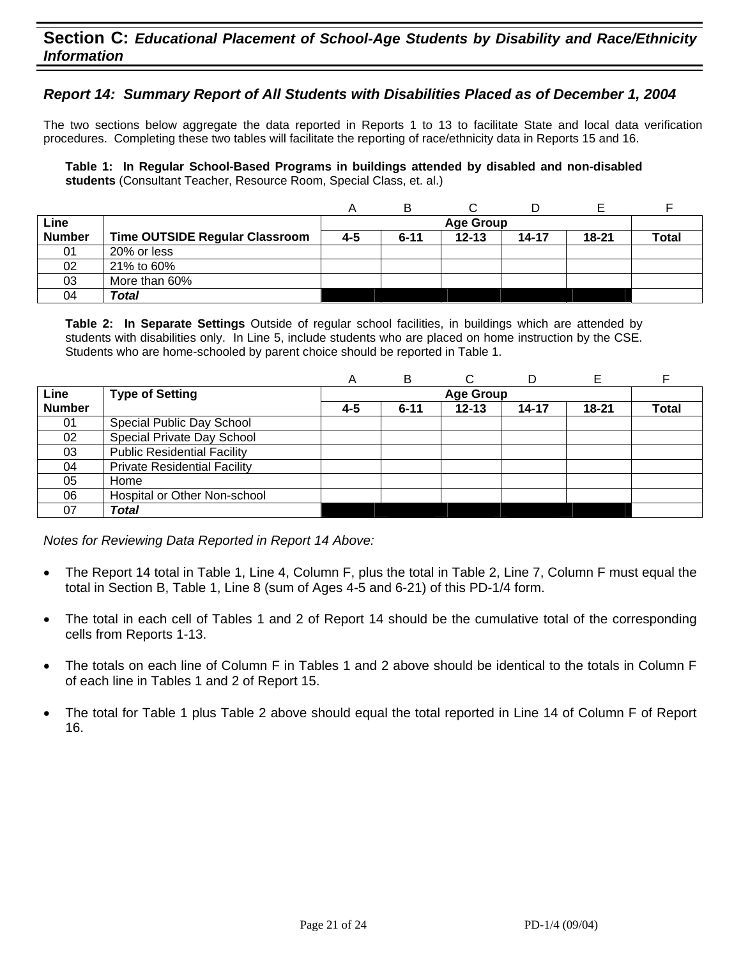### **Section C:** *Educational Placement of School-Age Students by Disability and Race/Ethnicity Information*

#### *Report 14: Summary Report of All Students with Disabilities Placed as of December 1, 2004*

The two sections below aggregate the data reported in Reports 1 to 13 to facilitate State and local data verification procedures. Completing these two tables will facilitate the reporting of race/ethnicity data in Reports 15 and 16.

**Table 1: In Regular School-Based Programs in buildings attended by disabled and non-disabled students** (Consultant Teacher, Resource Room, Special Class, et. al.)

|               |                                |     | в        |                  |       |           |              |
|---------------|--------------------------------|-----|----------|------------------|-------|-----------|--------------|
| Line          |                                |     |          | <b>Age Group</b> |       |           |              |
| <b>Number</b> | Time OUTSIDE Regular Classroom | 4-5 | $6 - 11$ | $12 - 13$        | 14-17 | $18 - 21$ | <b>Total</b> |
| 01            | 20% or less                    |     |          |                  |       |           |              |
| 02            | 21% to 60%                     |     |          |                  |       |           |              |
| 03            | More than 60%                  |     |          |                  |       |           |              |
| 04            | Total                          |     |          |                  |       |           |              |

**Table 2: In Separate Settings** Outside of regular school facilities, in buildings which are attended by students with disabilities only. In Line 5, include students who are placed on home instruction by the CSE. Students who are home-schooled by parent choice should be reported in Table 1.

|               |                                     | Α   | B        | С                | D     |           |              |
|---------------|-------------------------------------|-----|----------|------------------|-------|-----------|--------------|
| Line          | <b>Type of Setting</b>              |     |          | <b>Age Group</b> |       |           |              |
| <b>Number</b> |                                     | 4-5 | $6 - 11$ | $12 - 13$        | 14-17 | $18 - 21$ | <b>Total</b> |
| 01            | Special Public Day School           |     |          |                  |       |           |              |
| 02            | Special Private Day School          |     |          |                  |       |           |              |
| 03            | <b>Public Residential Facility</b>  |     |          |                  |       |           |              |
| 04            | <b>Private Residential Facility</b> |     |          |                  |       |           |              |
| 05            | Home                                |     |          |                  |       |           |              |
| 06            | Hospital or Other Non-school        |     |          |                  |       |           |              |
| 07            | Total                               |     |          |                  |       |           |              |

*Notes for Reviewing Data Reported in Report 14 Above:* 

- The Report 14 total in Table 1, Line 4, Column F, plus the total in Table 2, Line 7, Column F must equal the total in Section B, Table 1, Line 8 (sum of Ages 4-5 and 6-21) of this PD-1/4 form.
- The total in each cell of Tables 1 and 2 of Report 14 should be the cumulative total of the corresponding cells from Reports 1-13.
- The totals on each line of Column F in Tables 1 and 2 above should be identical to the totals in Column F of each line in Tables 1 and 2 of Report 15.
- The total for Table 1 plus Table 2 above should equal the total reported in Line 14 of Column F of Report 16.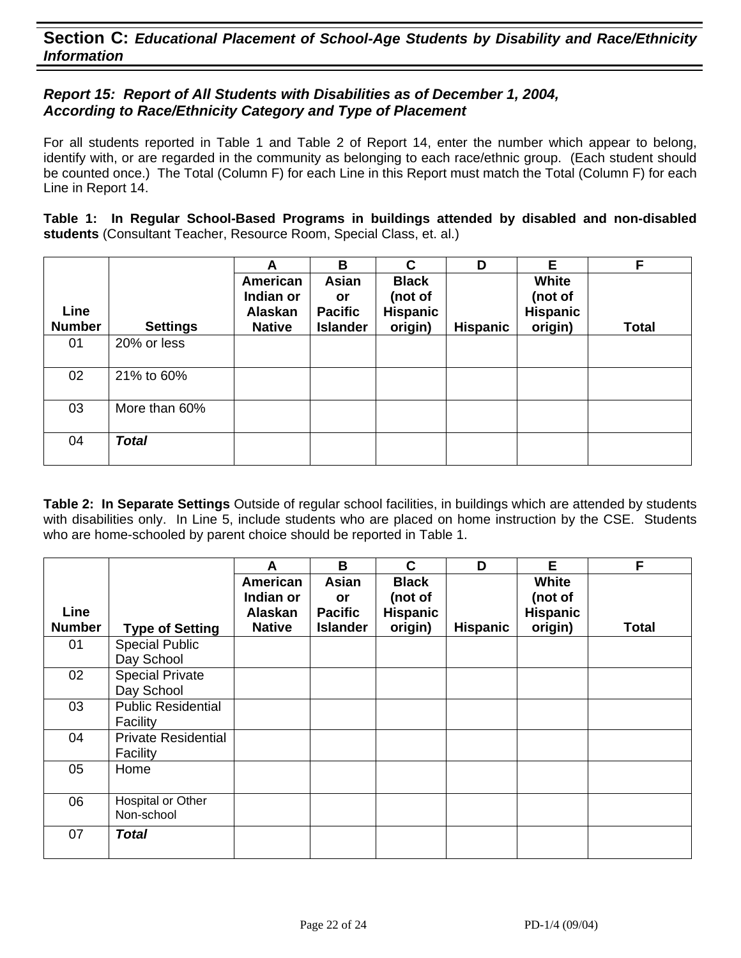### *Report 15: Report of All Students with Disabilities as of December 1, 2004, According to Race/Ethnicity Category and Type of Placement*

For all students reported in Table 1 and Table 2 of Report 14, enter the number which appear to belong, identify with, or are regarded in the community as belonging to each race/ethnic group. (Each student should be counted once.) The Total (Column F) for each Line in this Report must match the Total (Column F) for each Line in Report 14.

**Table 1: In Regular School-Based Programs in buildings attended by disabled and non-disabled students** (Consultant Teacher, Resource Room, Special Class, et. al.)

|                       |                 | A                                                        | B                                                       | C                                                     | D               | Е                                              | F.           |
|-----------------------|-----------------|----------------------------------------------------------|---------------------------------------------------------|-------------------------------------------------------|-----------------|------------------------------------------------|--------------|
| Line<br><b>Number</b> | <b>Settings</b> | American<br>Indian or<br><b>Alaskan</b><br><b>Native</b> | Asian<br><b>or</b><br><b>Pacific</b><br><b>Islander</b> | <b>Black</b><br>(not of<br><b>Hispanic</b><br>origin) | <b>Hispanic</b> | White<br>(not of<br><b>Hispanic</b><br>origin) | <b>Total</b> |
| 01                    | 20% or less     |                                                          |                                                         |                                                       |                 |                                                |              |
| 02                    | 21% to 60%      |                                                          |                                                         |                                                       |                 |                                                |              |
| 03                    | More than 60%   |                                                          |                                                         |                                                       |                 |                                                |              |
| 04                    | <b>Total</b>    |                                                          |                                                         |                                                       |                 |                                                |              |

|                       |                                        | A                                                 | B                                                       | C                                              | D               | Е                                              | F            |
|-----------------------|----------------------------------------|---------------------------------------------------|---------------------------------------------------------|------------------------------------------------|-----------------|------------------------------------------------|--------------|
| Line<br><b>Number</b> |                                        | American<br>Indian or<br>Alaskan<br><b>Native</b> | <b>Asian</b><br>or<br><b>Pacific</b><br><b>Islander</b> | <b>Black</b><br>(not of<br>Hispanic<br>origin) | <b>Hispanic</b> | White<br>(not of<br><b>Hispanic</b><br>origin) | <b>Total</b> |
|                       | <b>Type of Setting</b>                 |                                                   |                                                         |                                                |                 |                                                |              |
| 01                    | <b>Special Public</b><br>Day School    |                                                   |                                                         |                                                |                 |                                                |              |
| 02                    | <b>Special Private</b><br>Day School   |                                                   |                                                         |                                                |                 |                                                |              |
| 03                    | <b>Public Residential</b><br>Facility  |                                                   |                                                         |                                                |                 |                                                |              |
| 04                    | <b>Private Residential</b><br>Facility |                                                   |                                                         |                                                |                 |                                                |              |
| 05                    | Home                                   |                                                   |                                                         |                                                |                 |                                                |              |
| 06                    | Hospital or Other<br>Non-school        |                                                   |                                                         |                                                |                 |                                                |              |
| 07                    | <b>Total</b>                           |                                                   |                                                         |                                                |                 |                                                |              |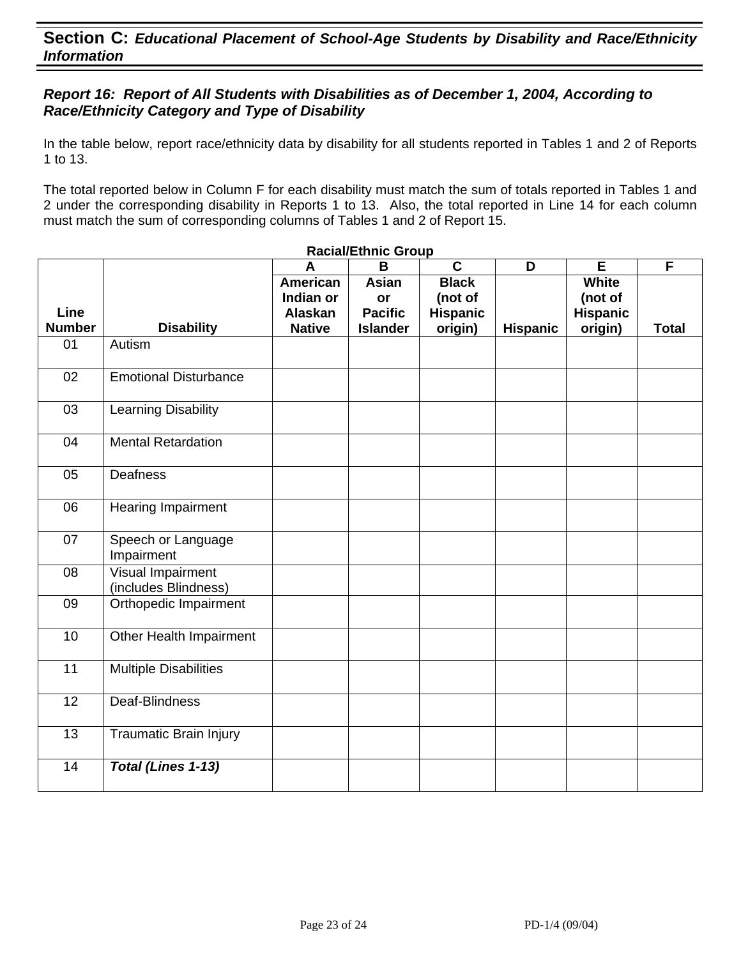### *Report 16: Report of All Students with Disabilities as of December 1, 2004, According to Race/Ethnicity Category and Type of Disability*

In the table below, report race/ethnicity data by disability for all students reported in Tables 1 and 2 of Reports 1 to 13.

The total reported below in Column F for each disability must match the sum of totals reported in Tables 1 and 2 under the corresponding disability in Reports 1 to 13. Also, the total reported in Line 14 for each column must match the sum of corresponding columns of Tables 1 and 2 of Report 15.

|                       |                                           | A                                                        | <b>Racial/Ethnic Group</b><br>B                         | $\overline{\mathbf{c}}$                               | D               | E                                                     | F            |
|-----------------------|-------------------------------------------|----------------------------------------------------------|---------------------------------------------------------|-------------------------------------------------------|-----------------|-------------------------------------------------------|--------------|
| Line<br><b>Number</b> | <b>Disability</b>                         | <b>American</b><br>Indian or<br>Alaskan<br><b>Native</b> | <b>Asian</b><br>or<br><b>Pacific</b><br><b>Islander</b> | <b>Black</b><br>(not of<br><b>Hispanic</b><br>origin) | <b>Hispanic</b> | <b>White</b><br>(not of<br><b>Hispanic</b><br>origin) | <b>Total</b> |
| 01                    | Autism                                    |                                                          |                                                         |                                                       |                 |                                                       |              |
| 02                    | <b>Emotional Disturbance</b>              |                                                          |                                                         |                                                       |                 |                                                       |              |
| 03                    | Learning Disability                       |                                                          |                                                         |                                                       |                 |                                                       |              |
| 04                    | <b>Mental Retardation</b>                 |                                                          |                                                         |                                                       |                 |                                                       |              |
| 05                    | <b>Deafness</b>                           |                                                          |                                                         |                                                       |                 |                                                       |              |
| 06                    | <b>Hearing Impairment</b>                 |                                                          |                                                         |                                                       |                 |                                                       |              |
| 07                    | Speech or Language<br>Impairment          |                                                          |                                                         |                                                       |                 |                                                       |              |
| 08                    | Visual Impairment<br>(includes Blindness) |                                                          |                                                         |                                                       |                 |                                                       |              |
| 09                    | Orthopedic Impairment                     |                                                          |                                                         |                                                       |                 |                                                       |              |
| 10                    | Other Health Impairment                   |                                                          |                                                         |                                                       |                 |                                                       |              |
| 11                    | <b>Multiple Disabilities</b>              |                                                          |                                                         |                                                       |                 |                                                       |              |
| $\overline{12}$       | Deaf-Blindness                            |                                                          |                                                         |                                                       |                 |                                                       |              |
| 13                    | <b>Traumatic Brain Injury</b>             |                                                          |                                                         |                                                       |                 |                                                       |              |
| 14                    | Total (Lines 1-13)                        |                                                          |                                                         |                                                       |                 |                                                       |              |